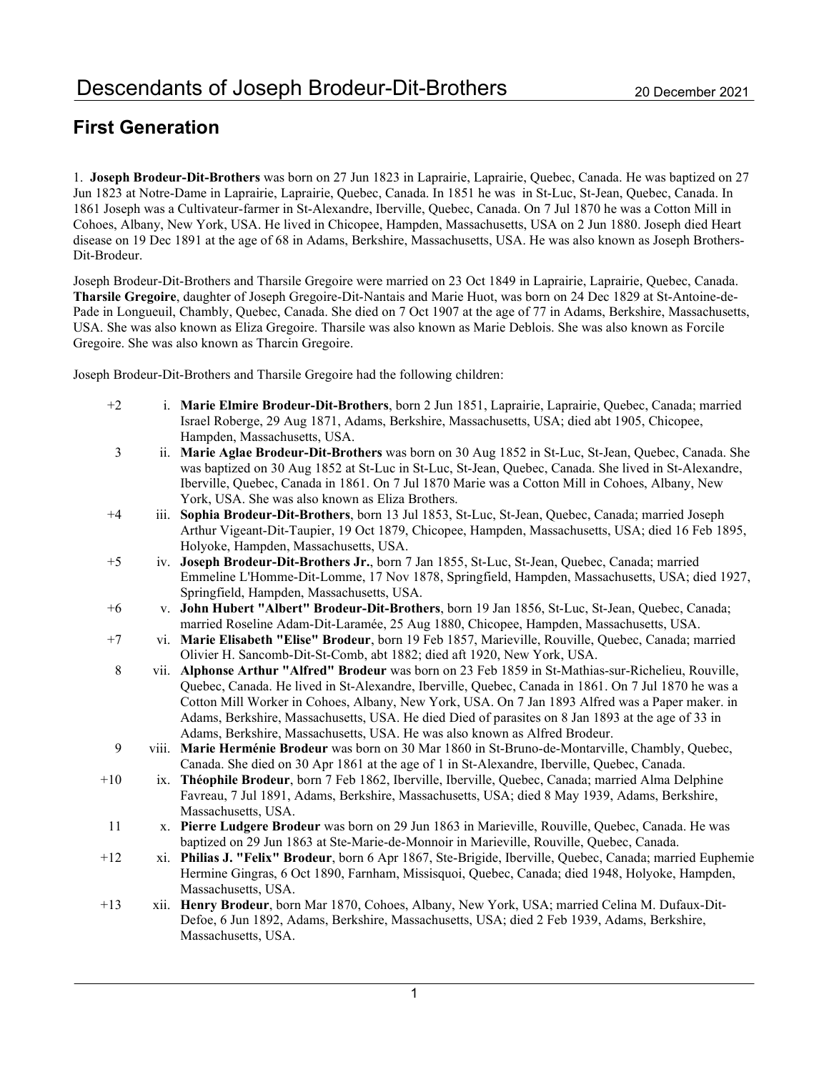# First Generation

1. Joseph Brodeur-Dit-Brothers was born on 27 Jun 1823 in Laprairie, Laprairie, Quebec, Canada. He was baptized on 27 Jun 1823 at Notre-Dame in Laprairie, Laprairie, Quebec, Canada. In 1851 he was in St-Luc, St-Jean, Quebec, Canada. In 1861 Joseph was a Cultivateur-farmer in St-Alexandre, Iberville, Quebec, Canada. On 7 Jul 1870 he was a Cotton Mill in Cohoes, Albany, New York, USA. He lived in Chicopee, Hampden, Massachusetts, USA on 2 Jun 1880. Joseph died Heart disease on 19 Dec 1891 at the age of 68 in Adams, Berkshire, Massachusetts, USA. He was also known as Joseph Brothers-Dit-Brodeur.

Joseph Brodeur-Dit-Brothers and Tharsile Gregoire were married on 23 Oct 1849 in Laprairie, Laprairie, Quebec, Canada. Tharsile Gregoire, daughter of Joseph Gregoire-Dit-Nantais and Marie Huot, was born on 24 Dec 1829 at St-Antoine-de-Pade in Longueuil, Chambly, Quebec, Canada. She died on 7 Oct 1907 at the age of 77 in Adams, Berkshire, Massachusetts, USA. She was also known as Eliza Gregoire. Tharsile was also known as Marie Deblois. She was also known as Forcile Gregoire. She was also known as Tharcin Gregoire.

Joseph Brodeur-Dit-Brothers and Tharsile Gregoire had the following children:

- +2 i. Marie Elmire Brodeur-Dit-Brothers, born 2 Jun 1851, Laprairie, Laprairie, Quebec, Canada; married Israel Roberge, 29 Aug 1871, Adams, Berkshire, Massachusetts, USA; died abt 1905, Chicopee, Hampden, Massachusetts, USA.
- 3 ii. Marie Aglae Brodeur-Dit-Brothers was born on 30 Aug 1852 in St-Luc, St-Jean, Quebec, Canada. She was baptized on 30 Aug 1852 at St-Luc in St-Luc, St-Jean, Quebec, Canada. She lived in St-Alexandre, Iberville, Quebec, Canada in 1861. On 7 Jul 1870 Marie was a Cotton Mill in Cohoes, Albany, New York, USA. She was also known as Eliza Brothers.
- +4 iii. Sophia Brodeur-Dit-Brothers, born 13 Jul 1853, St-Luc, St-Jean, Quebec, Canada; married Joseph Arthur Vigeant-Dit-Taupier, 19 Oct 1879, Chicopee, Hampden, Massachusetts, USA; died 16 Feb 1895, Holyoke, Hampden, Massachusetts, USA.
- +5 iv. Joseph Brodeur-Dit-Brothers Jr., born 7 Jan 1855, St-Luc, St-Jean, Quebec, Canada; married Emmeline L'Homme-Dit-Lomme, 17 Nov 1878, Springfield, Hampden, Massachusetts, USA; died 1927, Springfield, Hampden, Massachusetts, USA.
- +6 v. John Hubert "Albert" Brodeur-Dit-Brothers, born 19 Jan 1856, St-Luc, St-Jean, Quebec, Canada; married Roseline Adam-Dit-Laramée, 25 Aug 1880, Chicopee, Hampden, Massachusetts, USA.
- +7 vi. Marie Elisabeth "Elise" Brodeur, born 19 Feb 1857, Marieville, Rouville, Quebec, Canada; married Olivier H. Sancomb-Dit-St-Comb, abt 1882; died aft 1920, New York, USA.
- 8 vii. Alphonse Arthur "Alfred" Brodeur was born on 23 Feb 1859 in St-Mathias-sur-Richelieu, Rouville, Quebec, Canada. He lived in St-Alexandre, Iberville, Quebec, Canada in 1861. On 7 Jul 1870 he was a Cotton Mill Worker in Cohoes, Albany, New York, USA. On 7 Jan 1893 Alfred was a Paper maker. in Adams, Berkshire, Massachusetts, USA. He died Died of parasites on 8 Jan 1893 at the age of 33 in Adams, Berkshire, Massachusetts, USA. He was also known as Alfred Brodeur.
- 9 viii. Marie Herménie Brodeur was born on 30 Mar 1860 in St-Bruno-de-Montarville, Chambly, Quebec, Canada. She died on 30 Apr 1861 at the age of 1 in St-Alexandre, Iberville, Quebec, Canada.
- +10 ix. Théophile Brodeur, born 7 Feb 1862, Iberville, Iberville, Quebec, Canada; married Alma Delphine Favreau, 7 Jul 1891, Adams, Berkshire, Massachusetts, USA; died 8 May 1939, Adams, Berkshire, Massachusetts, USA.
- 11 x. Pierre Ludgere Brodeur was born on 29 Jun 1863 in Marieville, Rouville, Quebec, Canada. He was baptized on 29 Jun 1863 at Ste-Marie-de-Monnoir in Marieville, Rouville, Quebec, Canada.
- +12 xi. Philias J. "Felix" Brodeur, born 6 Apr 1867, Ste-Brigide, Iberville, Quebec, Canada; married Euphemie Hermine Gingras, 6 Oct 1890, Farnham, Missisquoi, Quebec, Canada; died 1948, Holyoke, Hampden, Massachusetts, USA.
- +13 xii. Henry Brodeur, born Mar 1870, Cohoes, Albany, New York, USA; married Celina M. Dufaux-Dit-Defoe, 6 Jun 1892, Adams, Berkshire, Massachusetts, USA; died 2 Feb 1939, Adams, Berkshire, Massachusetts, USA.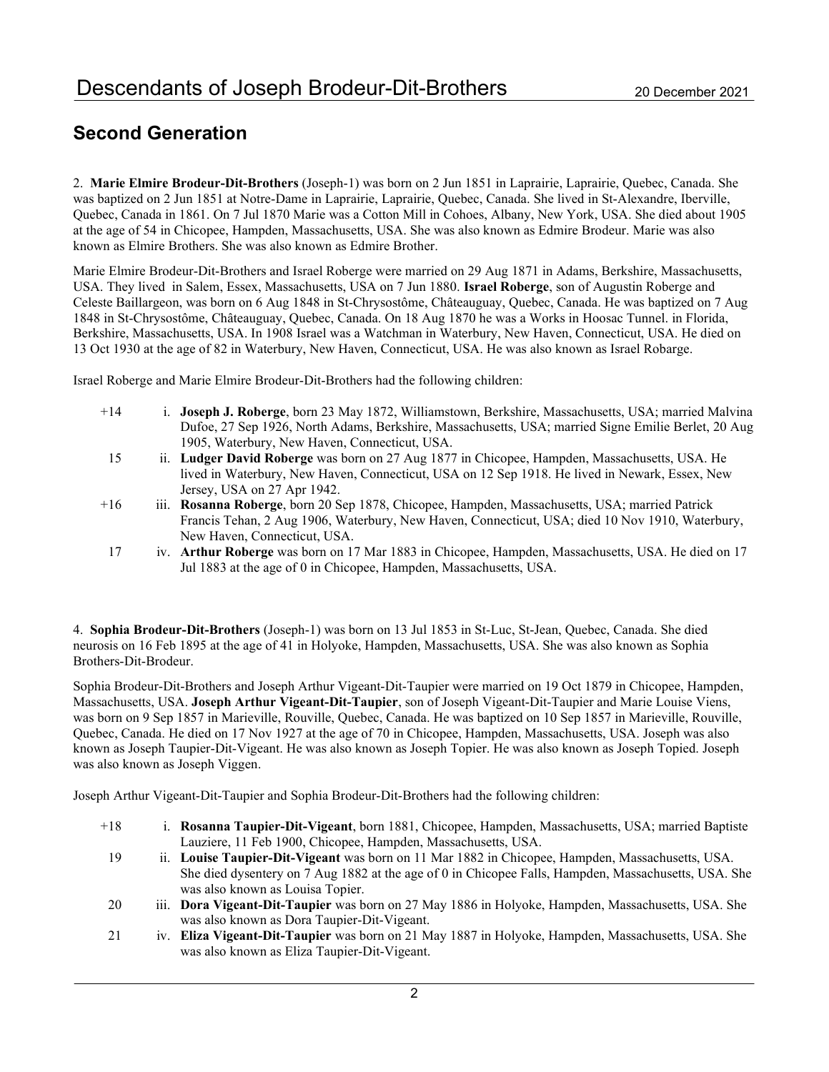# Second Generation

2. Marie Elmire Brodeur-Dit-Brothers (Joseph-1) was born on 2 Jun 1851 in Laprairie, Laprairie, Quebec, Canada. She was baptized on 2 Jun 1851 at Notre-Dame in Laprairie, Laprairie, Quebec, Canada. She lived in St-Alexandre, Iberville, Quebec, Canada in 1861. On 7 Jul 1870 Marie was a Cotton Mill in Cohoes, Albany, New York, USA. She died about 1905 at the age of 54 in Chicopee, Hampden, Massachusetts, USA. She was also known as Edmire Brodeur. Marie was also known as Elmire Brothers. She was also known as Edmire Brother.

Marie Elmire Brodeur-Dit-Brothers and Israel Roberge were married on 29 Aug 1871 in Adams, Berkshire, Massachusetts, USA. They lived in Salem, Essex, Massachusetts, USA on 7 Jun 1880. Israel Roberge, son of Augustin Roberge and Celeste Baillargeon, was born on 6 Aug 1848 in St-Chrysostôme, Châteauguay, Quebec, Canada. He was baptized on 7 Aug 1848 in St-Chrysostôme, Châteauguay, Quebec, Canada. On 18 Aug 1870 he was a Works in Hoosac Tunnel. in Florida, Berkshire, Massachusetts, USA. In 1908 Israel was a Watchman in Waterbury, New Haven, Connecticut, USA. He died on 13 Oct 1930 at the age of 82 in Waterbury, New Haven, Connecticut, USA. He was also known as Israel Robarge.

Israel Roberge and Marie Elmire Brodeur-Dit-Brothers had the following children:

- +14 i. Joseph J. Roberge, born 23 May 1872, Williamstown, Berkshire, Massachusetts, USA; married Malvina Dufoe, 27 Sep 1926, North Adams, Berkshire, Massachusetts, USA; married Signe Emilie Berlet, 20 Aug 1905, Waterbury, New Haven, Connecticut, USA.
- 15 ii. Ludger David Roberge was born on 27 Aug 1877 in Chicopee, Hampden, Massachusetts, USA. He lived in Waterbury, New Haven, Connecticut, USA on 12 Sep 1918. He lived in Newark, Essex, New Jersey, USA on 27 Apr 1942.
- +16 iii. Rosanna Roberge, born 20 Sep 1878, Chicopee, Hampden, Massachusetts, USA; married Patrick Francis Tehan, 2 Aug 1906, Waterbury, New Haven, Connecticut, USA; died 10 Nov 1910, Waterbury, New Haven, Connecticut, USA.
- 17 iv. Arthur Roberge was born on 17 Mar 1883 in Chicopee, Hampden, Massachusetts, USA. He died on 17 Jul 1883 at the age of 0 in Chicopee, Hampden, Massachusetts, USA.

4. Sophia Brodeur-Dit-Brothers (Joseph-1) was born on 13 Jul 1853 in St-Luc, St-Jean, Quebec, Canada. She died neurosis on 16 Feb 1895 at the age of 41 in Holyoke, Hampden, Massachusetts, USA. She was also known as Sophia Brothers-Dit-Brodeur.

Sophia Brodeur-Dit-Brothers and Joseph Arthur Vigeant-Dit-Taupier were married on 19 Oct 1879 in Chicopee, Hampden, Massachusetts, USA. Joseph Arthur Vigeant-Dit-Taupier, son of Joseph Vigeant-Dit-Taupier and Marie Louise Viens, was born on 9 Sep 1857 in Marieville, Rouville, Quebec, Canada. He was baptized on 10 Sep 1857 in Marieville, Rouville, Quebec, Canada. He died on 17 Nov 1927 at the age of 70 in Chicopee, Hampden, Massachusetts, USA. Joseph was also known as Joseph Taupier-Dit-Vigeant. He was also known as Joseph Topier. He was also known as Joseph Topied. Joseph was also known as Joseph Viggen.

Joseph Arthur Vigeant-Dit-Taupier and Sophia Brodeur-Dit-Brothers had the following children:

- +18 i. Rosanna Taupier-Dit-Vigeant, born 1881, Chicopee, Hampden, Massachusetts, USA; married Baptiste Lauziere, 11 Feb 1900, Chicopee, Hampden, Massachusetts, USA.
- 19 ii. Louise Taupier-Dit-Vigeant was born on 11 Mar 1882 in Chicopee, Hampden, Massachusetts, USA. She died dysentery on 7 Aug 1882 at the age of 0 in Chicopee Falls, Hampden, Massachusetts, USA. She was also known as Louisa Topier.
- 20 iii. Dora Vigeant-Dit-Taupier was born on 27 May 1886 in Holyoke, Hampden, Massachusetts, USA. She was also known as Dora Taupier-Dit-Vigeant.
- 21 iv. Eliza Vigeant-Dit-Taupier was born on 21 May 1887 in Holyoke, Hampden, Massachusetts, USA. She was also known as Eliza Taupier-Dit-Vigeant.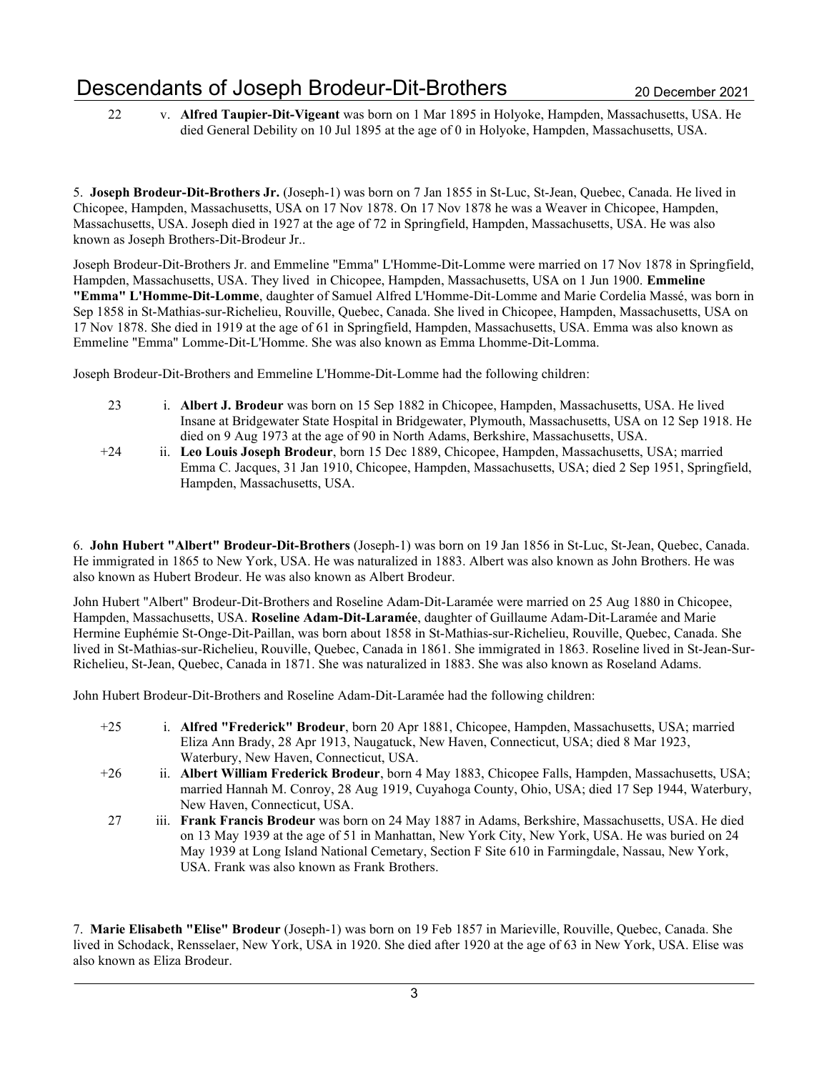22 v. Alfred Taupier-Dit-Vigeant was born on 1 Mar 1895 in Holyoke, Hampden, Massachusetts, USA. He died General Debility on 10 Jul 1895 at the age of 0 in Holyoke, Hampden, Massachusetts, USA.

5. Joseph Brodeur-Dit-Brothers Jr. (Joseph-1) was born on 7 Jan 1855 in St-Luc, St-Jean, Quebec, Canada. He lived in Chicopee, Hampden, Massachusetts, USA on 17 Nov 1878. On 17 Nov 1878 he was a Weaver in Chicopee, Hampden, Massachusetts, USA. Joseph died in 1927 at the age of 72 in Springfield, Hampden, Massachusetts, USA. He was also known as Joseph Brothers-Dit-Brodeur Jr..

Joseph Brodeur-Dit-Brothers Jr. and Emmeline "Emma" L'Homme-Dit-Lomme were married on 17 Nov 1878 in Springfield, Hampden, Massachusetts, USA. They lived in Chicopee, Hampden, Massachusetts, USA on 1 Jun 1900. Emmeline "Emma" L'Homme-Dit-Lomme, daughter of Samuel Alfred L'Homme-Dit-Lomme and Marie Cordelia Massé, was born in Sep 1858 in St-Mathias-sur-Richelieu, Rouville, Quebec, Canada. She lived in Chicopee, Hampden, Massachusetts, USA on 17 Nov 1878. She died in 1919 at the age of 61 in Springfield, Hampden, Massachusetts, USA. Emma was also known as Emmeline "Emma" Lomme-Dit-L'Homme. She was also known as Emma Lhomme-Dit-Lomma.

Joseph Brodeur-Dit-Brothers and Emmeline L'Homme-Dit-Lomme had the following children:

- 23 i. Albert J. Brodeur was born on 15 Sep 1882 in Chicopee, Hampden, Massachusetts, USA. He lived Insane at Bridgewater State Hospital in Bridgewater, Plymouth, Massachusetts, USA on 12 Sep 1918. He died on 9 Aug 1973 at the age of 90 in North Adams, Berkshire, Massachusetts, USA.
- +24 ii. Leo Louis Joseph Brodeur, born 15 Dec 1889, Chicopee, Hampden, Massachusetts, USA; married Emma C. Jacques, 31 Jan 1910, Chicopee, Hampden, Massachusetts, USA; died 2 Sep 1951, Springfield, Hampden, Massachusetts, USA.

6. John Hubert "Albert" Brodeur-Dit-Brothers (Joseph-1) was born on 19 Jan 1856 in St-Luc, St-Jean, Quebec, Canada. He immigrated in 1865 to New York, USA. He was naturalized in 1883. Albert was also known as John Brothers. He was also known as Hubert Brodeur. He was also known as Albert Brodeur.

John Hubert "Albert" Brodeur-Dit-Brothers and Roseline Adam-Dit-Laramée were married on 25 Aug 1880 in Chicopee, Hampden, Massachusetts, USA. Roseline Adam-Dit-Laramée, daughter of Guillaume Adam-Dit-Laramée and Marie Hermine Euphémie St-Onge-Dit-Paillan, was born about 1858 in St-Mathias-sur-Richelieu, Rouville, Quebec, Canada. She lived in St-Mathias-sur-Richelieu, Rouville, Quebec, Canada in 1861. She immigrated in 1863. Roseline lived in St-Jean-Sur-Richelieu, St-Jean, Quebec, Canada in 1871. She was naturalized in 1883. She was also known as Roseland Adams.

John Hubert Brodeur-Dit-Brothers and Roseline Adam-Dit-Laramée had the following children:

- +25 i. Alfred "Frederick" Brodeur, born 20 Apr 1881, Chicopee, Hampden, Massachusetts, USA; married Eliza Ann Brady, 28 Apr 1913, Naugatuck, New Haven, Connecticut, USA; died 8 Mar 1923, Waterbury, New Haven, Connecticut, USA.
- +26 ii. Albert William Frederick Brodeur, born 4 May 1883, Chicopee Falls, Hampden, Massachusetts, USA; married Hannah M. Conroy, 28 Aug 1919, Cuyahoga County, Ohio, USA; died 17 Sep 1944, Waterbury, New Haven, Connecticut, USA.
- 27 iii. Frank Francis Brodeur was born on 24 May 1887 in Adams, Berkshire, Massachusetts, USA. He died on 13 May 1939 at the age of 51 in Manhattan, New York City, New York, USA. He was buried on 24 May 1939 at Long Island National Cemetary, Section F Site 610 in Farmingdale, Nassau, New York, USA. Frank was also known as Frank Brothers.

7. Marie Elisabeth "Elise" Brodeur (Joseph-1) was born on 19 Feb 1857 in Marieville, Rouville, Quebec, Canada. She lived in Schodack, Rensselaer, New York, USA in 1920. She died after 1920 at the age of 63 in New York, USA. Elise was also known as Eliza Brodeur.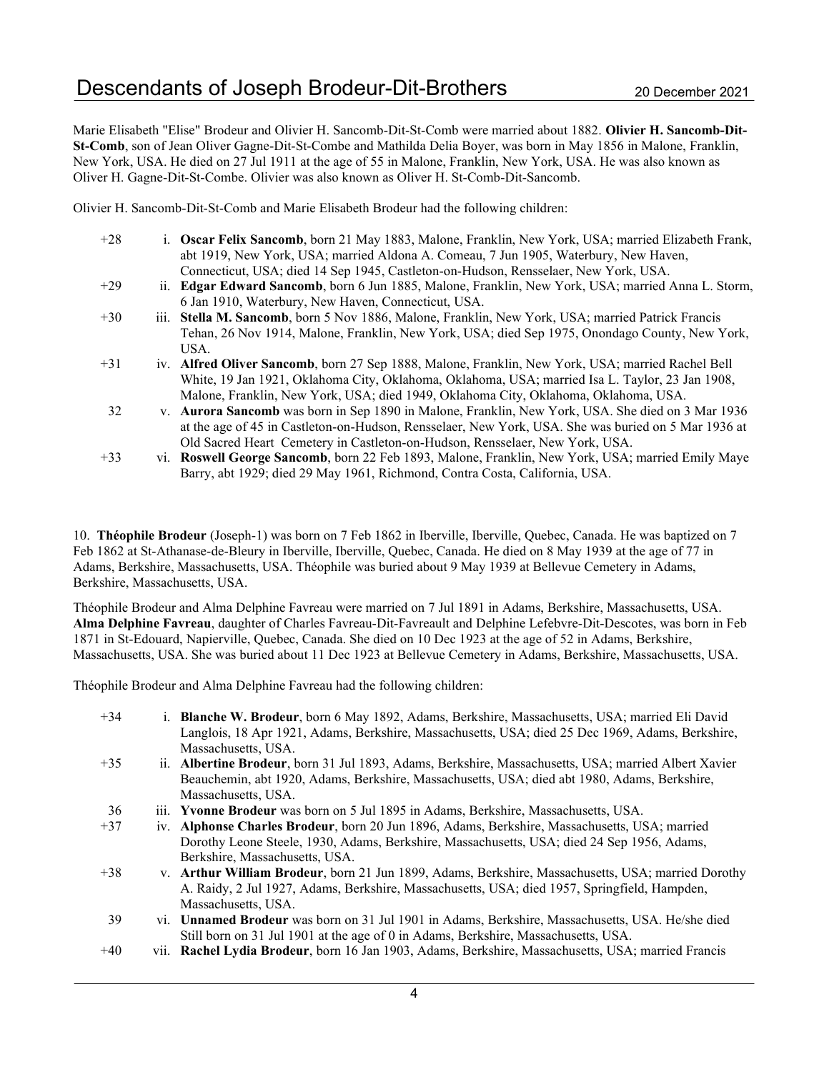Marie Elisabeth "Elise" Brodeur and Olivier H. Sancomb-Dit-St-Comb were married about 1882. Olivier H. Sancomb-Dit-St-Comb, son of Jean Oliver Gagne-Dit-St-Combe and Mathilda Delia Boyer, was born in May 1856 in Malone, Franklin, New York, USA. He died on 27 Jul 1911 at the age of 55 in Malone, Franklin, New York, USA. He was also known as Oliver H. Gagne-Dit-St-Combe. Olivier was also known as Oliver H. St-Comb-Dit-Sancomb.

Olivier H. Sancomb-Dit-St-Comb and Marie Elisabeth Brodeur had the following children:

| $+28$ | i. Oscar Felix Sancomb, born 21 May 1883, Malone, Franklin, New York, USA; married Elizabeth Frank,<br>abt 1919, New York, USA; married Aldona A. Comeau, 7 Jun 1905, Waterbury, New Haven, |
|-------|---------------------------------------------------------------------------------------------------------------------------------------------------------------------------------------------|
| $+29$ | Connecticut, USA; died 14 Sep 1945, Castleton-on-Hudson, Rensselaer, New York, USA.                                                                                                         |
|       | ii. Edgar Edward Sancomb, born 6 Jun 1885, Malone, Franklin, New York, USA; married Anna L. Storm,<br>6 Jan 1910, Waterbury, New Haven, Connecticut, USA.                                   |
| $+30$ | iii. Stella M. Sancomb, born 5 Nov 1886, Malone, Franklin, New York, USA; married Patrick Francis                                                                                           |
|       | Tehan, 26 Nov 1914, Malone, Franklin, New York, USA; died Sep 1975, Onondago County, New York,                                                                                              |
|       | USA.                                                                                                                                                                                        |
| $+31$ | iv. Alfred Oliver Sancomb, born 27 Sep 1888, Malone, Franklin, New York, USA; married Rachel Bell                                                                                           |
|       | White, 19 Jan 1921, Oklahoma City, Oklahoma, Oklahoma, USA; married Isa L. Taylor, 23 Jan 1908,                                                                                             |
|       | Malone, Franklin, New York, USA; died 1949, Oklahoma City, Oklahoma, Oklahoma, USA.                                                                                                         |
| 32    | v. Aurora Sancomb was born in Sep 1890 in Malone, Franklin, New York, USA. She died on 3 Mar 1936                                                                                           |
|       | at the age of 45 in Castleton-on-Hudson, Rensselaer, New York, USA. She was buried on 5 Mar 1936 at                                                                                         |
|       | Old Sacred Heart Cemetery in Castleton-on-Hudson, Rensselaer, New York, USA.                                                                                                                |
| $+33$ | vi. Roswell George Sancomb, born 22 Feb 1893, Malone, Franklin, New York, USA; married Emily Maye                                                                                           |
|       | Barry, abt 1929; died 29 May 1961, Richmond, Contra Costa, California, USA.                                                                                                                 |

10. Théophile Brodeur (Joseph-1) was born on 7 Feb 1862 in Iberville, Iberville, Quebec, Canada. He was baptized on 7 Feb 1862 at St-Athanase-de-Bleury in Iberville, Iberville, Quebec, Canada. He died on 8 May 1939 at the age of 77 in Adams, Berkshire, Massachusetts, USA. Théophile was buried about 9 May 1939 at Bellevue Cemetery in Adams, Berkshire, Massachusetts, USA.

Théophile Brodeur and Alma Delphine Favreau were married on 7 Jul 1891 in Adams, Berkshire, Massachusetts, USA. Alma Delphine Favreau, daughter of Charles Favreau-Dit-Favreault and Delphine Lefebvre-Dit-Descotes, was born in Feb 1871 in St-Edouard, Napierville, Quebec, Canada. She died on 10 Dec 1923 at the age of 52 in Adams, Berkshire, Massachusetts, USA. She was buried about 11 Dec 1923 at Bellevue Cemetery in Adams, Berkshire, Massachusetts, USA.

Théophile Brodeur and Alma Delphine Favreau had the following children:

| $+34$ | i. Blanche W. Brodeur, born 6 May 1892, Adams, Berkshire, Massachusetts, USA; married Eli David<br>Langlois, 18 Apr 1921, Adams, Berkshire, Massachusetts, USA; died 25 Dec 1969, Adams, Berkshire,<br>Massachusetts, USA. |
|-------|----------------------------------------------------------------------------------------------------------------------------------------------------------------------------------------------------------------------------|
| $+35$ | ii. Albertine Brodeur, born 31 Jul 1893, Adams, Berkshire, Massachusetts, USA; married Albert Xavier                                                                                                                       |
|       | Beauchemin, abt 1920, Adams, Berkshire, Massachusetts, USA; died abt 1980, Adams, Berkshire,                                                                                                                               |
|       | Massachusetts, USA.                                                                                                                                                                                                        |
| 36    | iii. Yvonne Brodeur was born on 5 Jul 1895 in Adams, Berkshire, Massachusetts, USA.                                                                                                                                        |
| $+37$ | iv. Alphonse Charles Brodeur, born 20 Jun 1896, Adams, Berkshire, Massachusetts, USA; married                                                                                                                              |
|       | Dorothy Leone Steele, 1930, Adams, Berkshire, Massachusetts, USA; died 24 Sep 1956, Adams,                                                                                                                                 |
|       | Berkshire, Massachusetts, USA.                                                                                                                                                                                             |
| $+38$ | v. Arthur William Brodeur, born 21 Jun 1899, Adams, Berkshire, Massachusetts, USA; married Dorothy                                                                                                                         |
|       | A. Raidy, 2 Jul 1927, Adams, Berkshire, Massachusetts, USA; died 1957, Springfield, Hampden,                                                                                                                               |
|       | Massachusetts, USA.                                                                                                                                                                                                        |
| 39    | vi. <b>Unnamed Brodeur</b> was born on 31 Jul 1901 in Adams, Berkshire, Massachusetts, USA. He/she died                                                                                                                    |
|       | Still born on 31 Jul 1901 at the age of 0 in Adams, Berkshire, Massachusetts, USA.                                                                                                                                         |

+40 vii. Rachel Lydia Brodeur, born 16 Jan 1903, Adams, Berkshire, Massachusetts, USA; married Francis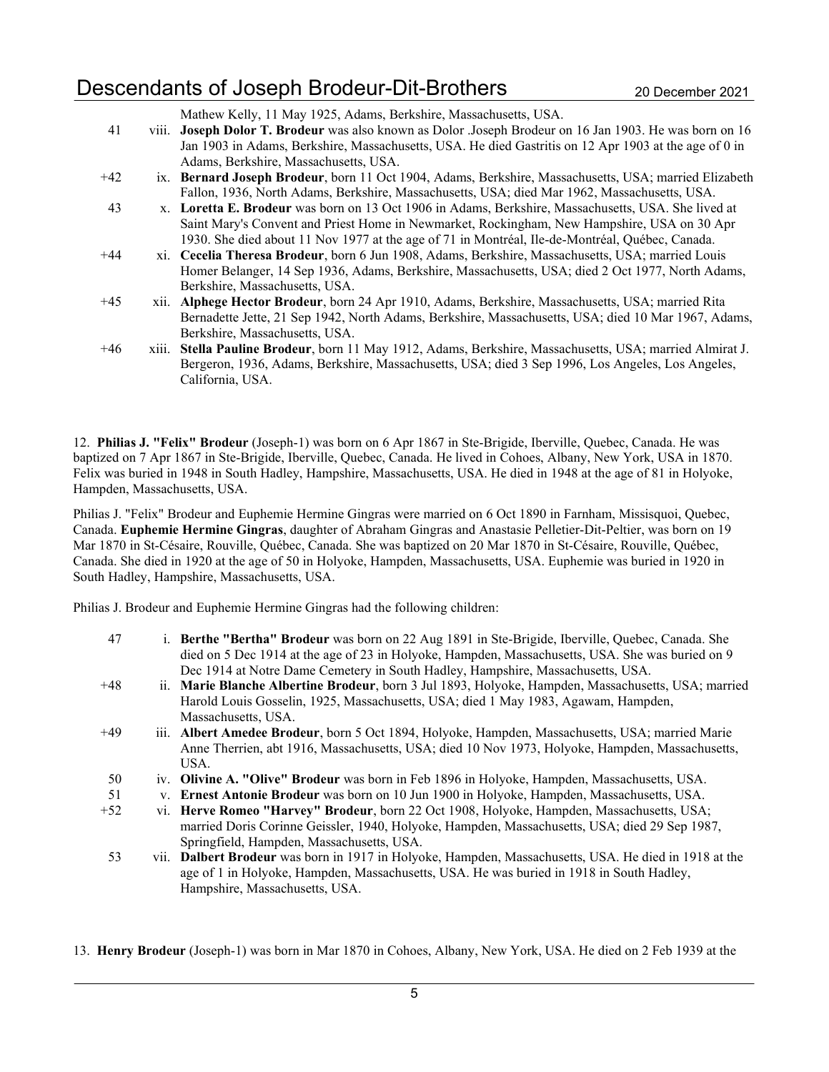## Descendants of Joseph Brodeur-Dit-Brothers 2020 20 December 2021

| 41    | Mathew Kelly, 11 May 1925, Adams, Berkshire, Massachusetts, USA.<br>viii. Joseph Dolor T. Brodeur was also known as Dolor .Joseph Brodeur on 16 Jan 1903. He was born on 16 |
|-------|-----------------------------------------------------------------------------------------------------------------------------------------------------------------------------|
|       | Jan 1903 in Adams, Berkshire, Massachusetts, USA. He died Gastritis on 12 Apr 1903 at the age of 0 in                                                                       |
|       | Adams, Berkshire, Massachusetts, USA.                                                                                                                                       |
| $+42$ | ix. Bernard Joseph Brodeur, born 11 Oct 1904, Adams, Berkshire, Massachusetts, USA; married Elizabeth                                                                       |
|       | Fallon, 1936, North Adams, Berkshire, Massachusetts, USA; died Mar 1962, Massachusetts, USA.                                                                                |
| 43    | x. Loretta E. Brodeur was born on 13 Oct 1906 in Adams, Berkshire, Massachusetts, USA. She lived at                                                                         |

- Saint Mary's Convent and Priest Home in Newmarket, Rockingham, New Hampshire, USA on 30 Apr 1930. She died about 11 Nov 1977 at the age of 71 in Montréal, Ile-de-Montréal, Québec, Canada.
- +44 xi. Cecelia Theresa Brodeur, born 6 Jun 1908, Adams, Berkshire, Massachusetts, USA; married Louis Homer Belanger, 14 Sep 1936, Adams, Berkshire, Massachusetts, USA; died 2 Oct 1977, North Adams, Berkshire, Massachusetts, USA.
- +45 xii. Alphege Hector Brodeur, born 24 Apr 1910, Adams, Berkshire, Massachusetts, USA; married Rita Bernadette Jette, 21 Sep 1942, North Adams, Berkshire, Massachusetts, USA; died 10 Mar 1967, Adams, Berkshire, Massachusetts, USA.
- +46 xiii. Stella Pauline Brodeur, born 11 May 1912, Adams, Berkshire, Massachusetts, USA; married Almirat J. Bergeron, 1936, Adams, Berkshire, Massachusetts, USA; died 3 Sep 1996, Los Angeles, Los Angeles, California, USA.

12. Philias J. "Felix" Brodeur (Joseph-1) was born on 6 Apr 1867 in Ste-Brigide, Iberville, Quebec, Canada. He was baptized on 7 Apr 1867 in Ste-Brigide, Iberville, Quebec, Canada. He lived in Cohoes, Albany, New York, USA in 1870. Felix was buried in 1948 in South Hadley, Hampshire, Massachusetts, USA. He died in 1948 at the age of 81 in Holyoke, Hampden, Massachusetts, USA.

Philias J. "Felix" Brodeur and Euphemie Hermine Gingras were married on 6 Oct 1890 in Farnham, Missisquoi, Quebec, Canada. Euphemie Hermine Gingras, daughter of Abraham Gingras and Anastasie Pelletier-Dit-Peltier, was born on 19 Mar 1870 in St-Césaire, Rouville, Québec, Canada. She was baptized on 20 Mar 1870 in St-Césaire, Rouville, Québec, Canada. She died in 1920 at the age of 50 in Holyoke, Hampden, Massachusetts, USA. Euphemie was buried in 1920 in South Hadley, Hampshire, Massachusetts, USA.

Philias J. Brodeur and Euphemie Hermine Gingras had the following children:

- 47 i. Berthe "Bertha" Brodeur was born on 22 Aug 1891 in Ste-Brigide, Iberville, Quebec, Canada. She died on 5 Dec 1914 at the age of 23 in Holyoke, Hampden, Massachusetts, USA. She was buried on 9 Dec 1914 at Notre Dame Cemetery in South Hadley, Hampshire, Massachusetts, USA.
- +48 ii. Marie Blanche Albertine Brodeur, born 3 Jul 1893, Holyoke, Hampden, Massachusetts, USA; married Harold Louis Gosselin, 1925, Massachusetts, USA; died 1 May 1983, Agawam, Hampden, Massachusetts, USA.
- +49 iii. Albert Amedee Brodeur, born 5 Oct 1894, Holyoke, Hampden, Massachusetts, USA; married Marie Anne Therrien, abt 1916, Massachusetts, USA; died 10 Nov 1973, Holyoke, Hampden, Massachusetts, USA.
- 50 iv. Olivine A. "Olive" Brodeur was born in Feb 1896 in Holyoke, Hampden, Massachusetts, USA.
- 51 v. Ernest Antonie Brodeur was born on 10 Jun 1900 in Holyoke, Hampden, Massachusetts, USA.
- +52 vi. Herve Romeo "Harvey" Brodeur, born 22 Oct 1908, Holyoke, Hampden, Massachusetts, USA; married Doris Corinne Geissler, 1940, Holyoke, Hampden, Massachusetts, USA; died 29 Sep 1987, Springfield, Hampden, Massachusetts, USA.
- 53 vii. Dalbert Brodeur was born in 1917 in Holyoke, Hampden, Massachusetts, USA. He died in 1918 at the age of 1 in Holyoke, Hampden, Massachusetts, USA. He was buried in 1918 in South Hadley, Hampshire, Massachusetts, USA.

13. Henry Brodeur (Joseph-1) was born in Mar 1870 in Cohoes, Albany, New York, USA. He died on 2 Feb 1939 at the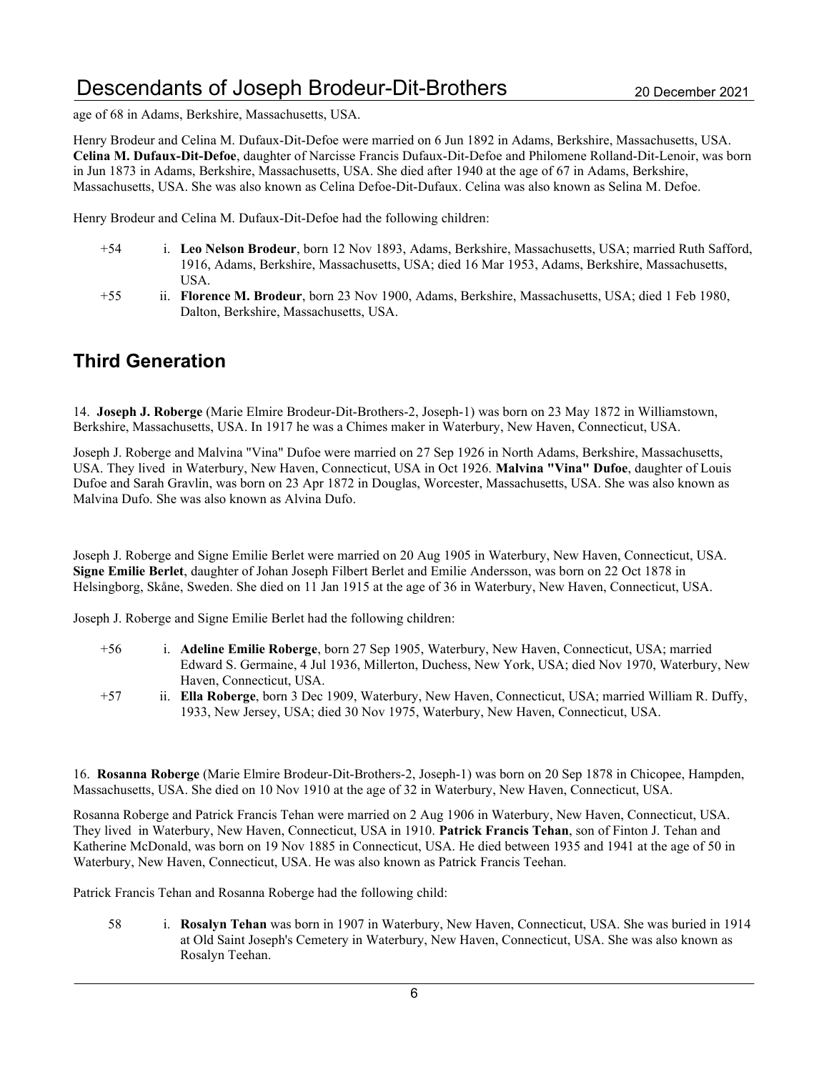# Descendants of Joseph Brodeur-Dit-Brothers 20 December 2021

age of 68 in Adams, Berkshire, Massachusetts, USA.

Henry Brodeur and Celina M. Dufaux-Dit-Defoe were married on 6 Jun 1892 in Adams, Berkshire, Massachusetts, USA. Celina M. Dufaux-Dit-Defoe, daughter of Narcisse Francis Dufaux-Dit-Defoe and Philomene Rolland-Dit-Lenoir, was born in Jun 1873 in Adams, Berkshire, Massachusetts, USA. She died after 1940 at the age of 67 in Adams, Berkshire, Massachusetts, USA. She was also known as Celina Defoe-Dit-Dufaux. Celina was also known as Selina M. Defoe.

Henry Brodeur and Celina M. Dufaux-Dit-Defoe had the following children:

- +54 i. Leo Nelson Brodeur, born 12 Nov 1893, Adams, Berkshire, Massachusetts, USA; married Ruth Safford, 1916, Adams, Berkshire, Massachusetts, USA; died 16 Mar 1953, Adams, Berkshire, Massachusetts, USA.
- +55 ii. Florence M. Brodeur, born 23 Nov 1900, Adams, Berkshire, Massachusetts, USA; died 1 Feb 1980, Dalton, Berkshire, Massachusetts, USA.

#### Third Generation

14. Joseph J. Roberge (Marie Elmire Brodeur-Dit-Brothers-2, Joseph-1) was born on 23 May 1872 in Williamstown, Berkshire, Massachusetts, USA. In 1917 he was a Chimes maker in Waterbury, New Haven, Connecticut, USA.

Joseph J. Roberge and Malvina "Vina" Dufoe were married on 27 Sep 1926 in North Adams, Berkshire, Massachusetts, USA. They lived in Waterbury, New Haven, Connecticut, USA in Oct 1926. Malvina "Vina" Dufoe, daughter of Louis Dufoe and Sarah Gravlin, was born on 23 Apr 1872 in Douglas, Worcester, Massachusetts, USA. She was also known as Malvina Dufo. She was also known as Alvina Dufo.

Joseph J. Roberge and Signe Emilie Berlet were married on 20 Aug 1905 in Waterbury, New Haven, Connecticut, USA. Signe Emilie Berlet, daughter of Johan Joseph Filbert Berlet and Emilie Andersson, was born on 22 Oct 1878 in Helsingborg, Skåne, Sweden. She died on 11 Jan 1915 at the age of 36 in Waterbury, New Haven, Connecticut, USA.

Joseph J. Roberge and Signe Emilie Berlet had the following children:

- +56 i. Adeline Emilie Roberge, born 27 Sep 1905, Waterbury, New Haven, Connecticut, USA; married Edward S. Germaine, 4 Jul 1936, Millerton, Duchess, New York, USA; died Nov 1970, Waterbury, New Haven, Connecticut, USA.
- +57 ii. Ella Roberge, born 3 Dec 1909, Waterbury, New Haven, Connecticut, USA; married William R. Duffy, 1933, New Jersey, USA; died 30 Nov 1975, Waterbury, New Haven, Connecticut, USA.

16. Rosanna Roberge (Marie Elmire Brodeur-Dit-Brothers-2, Joseph-1) was born on 20 Sep 1878 in Chicopee, Hampden, Massachusetts, USA. She died on 10 Nov 1910 at the age of 32 in Waterbury, New Haven, Connecticut, USA.

Rosanna Roberge and Patrick Francis Tehan were married on 2 Aug 1906 in Waterbury, New Haven, Connecticut, USA. They lived in Waterbury, New Haven, Connecticut, USA in 1910. Patrick Francis Tehan, son of Finton J. Tehan and Katherine McDonald, was born on 19 Nov 1885 in Connecticut, USA. He died between 1935 and 1941 at the age of 50 in Waterbury, New Haven, Connecticut, USA. He was also known as Patrick Francis Teehan.

Patrick Francis Tehan and Rosanna Roberge had the following child:

58 i. Rosalyn Tehan was born in 1907 in Waterbury, New Haven, Connecticut, USA. She was buried in 1914 at Old Saint Joseph's Cemetery in Waterbury, New Haven, Connecticut, USA. She was also known as Rosalyn Teehan.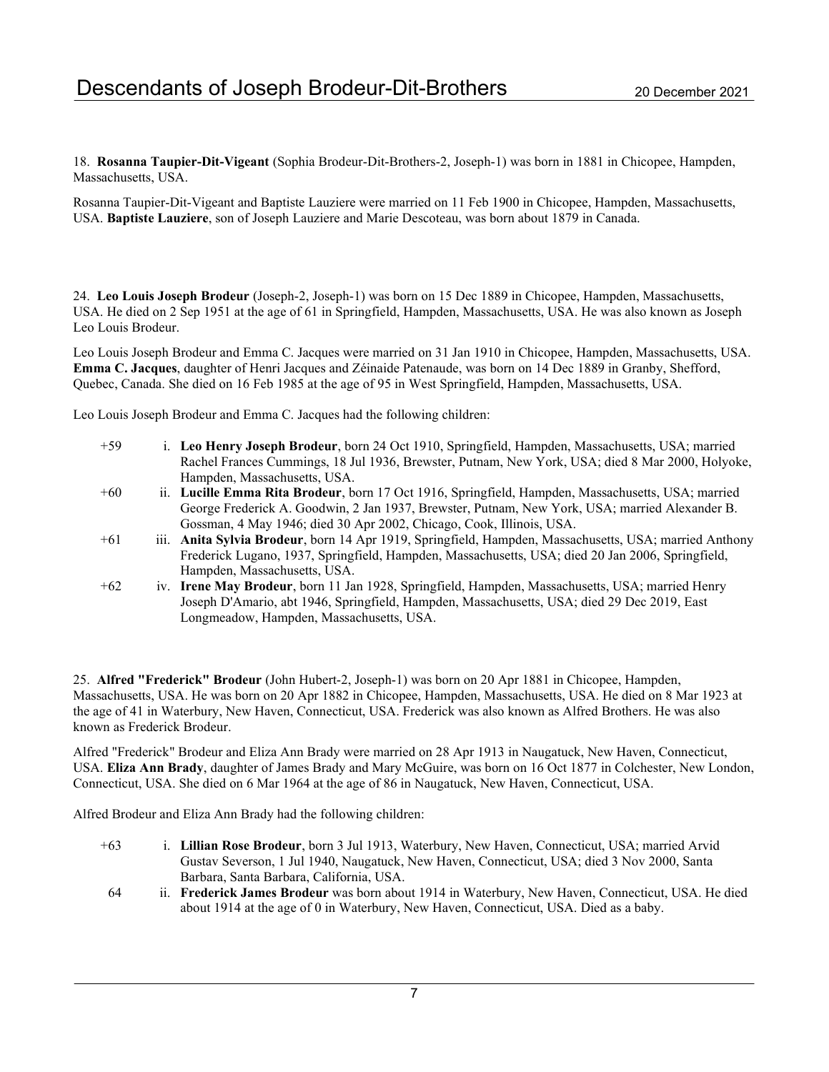18. Rosanna Taupier-Dit-Vigeant (Sophia Brodeur-Dit-Brothers-2, Joseph-1) was born in 1881 in Chicopee, Hampden, Massachusetts, USA.

Rosanna Taupier-Dit-Vigeant and Baptiste Lauziere were married on 11 Feb 1900 in Chicopee, Hampden, Massachusetts, USA. Baptiste Lauziere, son of Joseph Lauziere and Marie Descoteau, was born about 1879 in Canada.

24. Leo Louis Joseph Brodeur (Joseph-2, Joseph-1) was born on 15 Dec 1889 in Chicopee, Hampden, Massachusetts, USA. He died on 2 Sep 1951 at the age of 61 in Springfield, Hampden, Massachusetts, USA. He was also known as Joseph Leo Louis Brodeur.

Leo Louis Joseph Brodeur and Emma C. Jacques were married on 31 Jan 1910 in Chicopee, Hampden, Massachusetts, USA. Emma C. Jacques, daughter of Henri Jacques and Zéinaide Patenaude, was born on 14 Dec 1889 in Granby, Shefford, Quebec, Canada. She died on 16 Feb 1985 at the age of 95 in West Springfield, Hampden, Massachusetts, USA.

Leo Louis Joseph Brodeur and Emma C. Jacques had the following children:

- +59 i. Leo Henry Joseph Brodeur, born 24 Oct 1910, Springfield, Hampden, Massachusetts, USA; married Rachel Frances Cummings, 18 Jul 1936, Brewster, Putnam, New York, USA; died 8 Mar 2000, Holyoke, Hampden, Massachusetts, USA.
- +60 ii. Lucille Emma Rita Brodeur, born 17 Oct 1916, Springfield, Hampden, Massachusetts, USA; married George Frederick A. Goodwin, 2 Jan 1937, Brewster, Putnam, New York, USA; married Alexander B. Gossman, 4 May 1946; died 30 Apr 2002, Chicago, Cook, Illinois, USA.
- +61 iii. Anita Sylvia Brodeur, born 14 Apr 1919, Springfield, Hampden, Massachusetts, USA; married Anthony Frederick Lugano, 1937, Springfield, Hampden, Massachusetts, USA; died 20 Jan 2006, Springfield, Hampden, Massachusetts, USA.
- +62 iv. Irene May Brodeur, born 11 Jan 1928, Springfield, Hampden, Massachusetts, USA; married Henry Joseph D'Amario, abt 1946, Springfield, Hampden, Massachusetts, USA; died 29 Dec 2019, East Longmeadow, Hampden, Massachusetts, USA.

25. Alfred "Frederick" Brodeur (John Hubert-2, Joseph-1) was born on 20 Apr 1881 in Chicopee, Hampden, Massachusetts, USA. He was born on 20 Apr 1882 in Chicopee, Hampden, Massachusetts, USA. He died on 8 Mar 1923 at the age of 41 in Waterbury, New Haven, Connecticut, USA. Frederick was also known as Alfred Brothers. He was also known as Frederick Brodeur.

Alfred "Frederick" Brodeur and Eliza Ann Brady were married on 28 Apr 1913 in Naugatuck, New Haven, Connecticut, USA. Eliza Ann Brady, daughter of James Brady and Mary McGuire, was born on 16 Oct 1877 in Colchester, New London, Connecticut, USA. She died on 6 Mar 1964 at the age of 86 in Naugatuck, New Haven, Connecticut, USA.

Alfred Brodeur and Eliza Ann Brady had the following children:

- +63 i. Lillian Rose Brodeur, born 3 Jul 1913, Waterbury, New Haven, Connecticut, USA; married Arvid Gustav Severson, 1 Jul 1940, Naugatuck, New Haven, Connecticut, USA; died 3 Nov 2000, Santa Barbara, Santa Barbara, California, USA.
- 64 ii. Frederick James Brodeur was born about 1914 in Waterbury, New Haven, Connecticut, USA. He died about 1914 at the age of 0 in Waterbury, New Haven, Connecticut, USA. Died as a baby.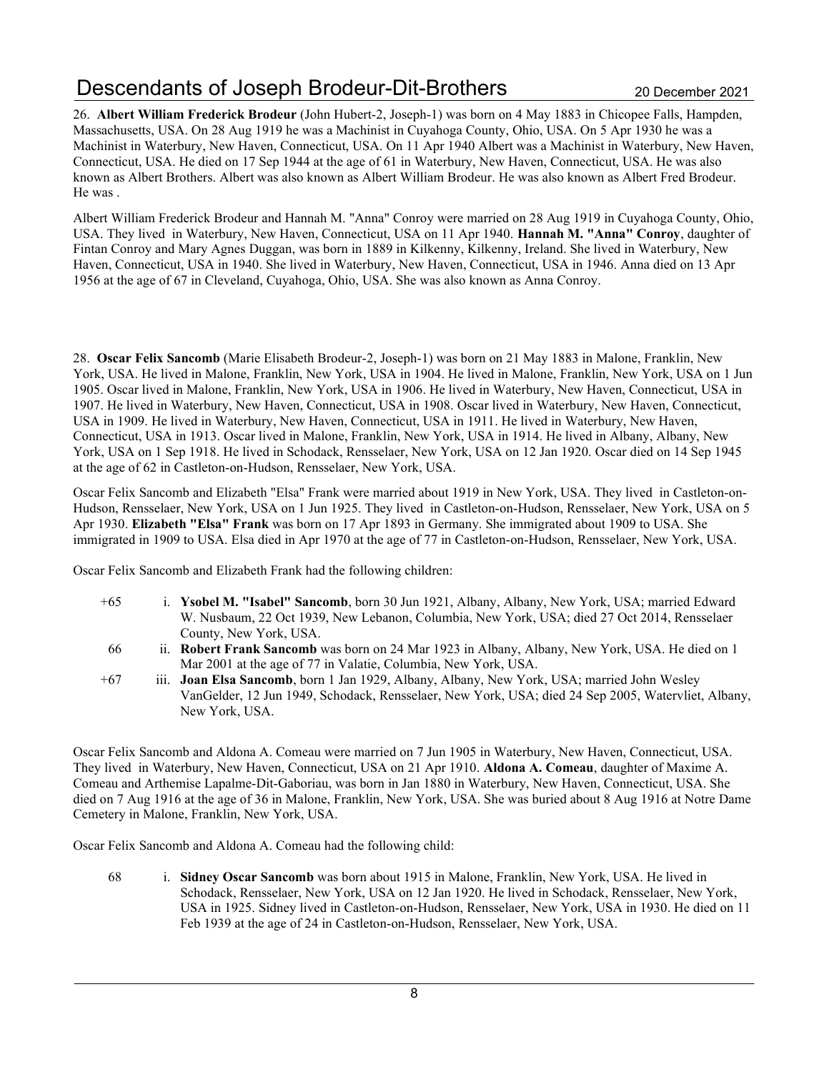# Descendants of Joseph Brodeur-Dit-Brothers 20 December 2021

26. Albert William Frederick Brodeur (John Hubert-2, Joseph-1) was born on 4 May 1883 in Chicopee Falls, Hampden, Massachusetts, USA. On 28 Aug 1919 he was a Machinist in Cuyahoga County, Ohio, USA. On 5 Apr 1930 he was a Machinist in Waterbury, New Haven, Connecticut, USA. On 11 Apr 1940 Albert was a Machinist in Waterbury, New Haven, Connecticut, USA. He died on 17 Sep 1944 at the age of 61 in Waterbury, New Haven, Connecticut, USA. He was also known as Albert Brothers. Albert was also known as Albert William Brodeur. He was also known as Albert Fred Brodeur. He was .

Albert William Frederick Brodeur and Hannah M. "Anna" Conroy were married on 28 Aug 1919 in Cuyahoga County, Ohio, USA. They lived in Waterbury, New Haven, Connecticut, USA on 11 Apr 1940. Hannah M. "Anna" Conroy, daughter of Fintan Conroy and Mary Agnes Duggan, was born in 1889 in Kilkenny, Kilkenny, Ireland. She lived in Waterbury, New Haven, Connecticut, USA in 1940. She lived in Waterbury, New Haven, Connecticut, USA in 1946. Anna died on 13 Apr 1956 at the age of 67 in Cleveland, Cuyahoga, Ohio, USA. She was also known as Anna Conroy.

28. Oscar Felix Sancomb (Marie Elisabeth Brodeur-2, Joseph-1) was born on 21 May 1883 in Malone, Franklin, New York, USA. He lived in Malone, Franklin, New York, USA in 1904. He lived in Malone, Franklin, New York, USA on 1 Jun 1905. Oscar lived in Malone, Franklin, New York, USA in 1906. He lived in Waterbury, New Haven, Connecticut, USA in 1907. He lived in Waterbury, New Haven, Connecticut, USA in 1908. Oscar lived in Waterbury, New Haven, Connecticut, USA in 1909. He lived in Waterbury, New Haven, Connecticut, USA in 1911. He lived in Waterbury, New Haven, Connecticut, USA in 1913. Oscar lived in Malone, Franklin, New York, USA in 1914. He lived in Albany, Albany, New York, USA on 1 Sep 1918. He lived in Schodack, Rensselaer, New York, USA on 12 Jan 1920. Oscar died on 14 Sep 1945 at the age of 62 in Castleton-on-Hudson, Rensselaer, New York, USA.

Oscar Felix Sancomb and Elizabeth "Elsa" Frank were married about 1919 in New York, USA. They lived in Castleton-on-Hudson, Rensselaer, New York, USA on 1 Jun 1925. They lived in Castleton-on-Hudson, Rensselaer, New York, USA on 5 Apr 1930. Elizabeth "Elsa" Frank was born on 17 Apr 1893 in Germany. She immigrated about 1909 to USA. She immigrated in 1909 to USA. Elsa died in Apr 1970 at the age of 77 in Castleton-on-Hudson, Rensselaer, New York, USA.

Oscar Felix Sancomb and Elizabeth Frank had the following children:

- +65 i. Ysobel M. "Isabel" Sancomb, born 30 Jun 1921, Albany, Albany, New York, USA; married Edward W. Nusbaum, 22 Oct 1939, New Lebanon, Columbia, New York, USA; died 27 Oct 2014, Rensselaer County, New York, USA.
- 66 ii. Robert Frank Sancomb was born on 24 Mar 1923 in Albany, Albany, New York, USA. He died on 1 Mar 2001 at the age of 77 in Valatie, Columbia, New York, USA.
- +67 iii. Joan Elsa Sancomb, born 1 Jan 1929, Albany, Albany, New York, USA; married John Wesley VanGelder, 12 Jun 1949, Schodack, Rensselaer, New York, USA; died 24 Sep 2005, Watervliet, Albany, New York, USA.

Oscar Felix Sancomb and Aldona A. Comeau were married on 7 Jun 1905 in Waterbury, New Haven, Connecticut, USA. They lived in Waterbury, New Haven, Connecticut, USA on 21 Apr 1910. Aldona A. Comeau, daughter of Maxime A. Comeau and Arthemise Lapalme-Dit-Gaboriau, was born in Jan 1880 in Waterbury, New Haven, Connecticut, USA. She died on 7 Aug 1916 at the age of 36 in Malone, Franklin, New York, USA. She was buried about 8 Aug 1916 at Notre Dame Cemetery in Malone, Franklin, New York, USA.

Oscar Felix Sancomb and Aldona A. Comeau had the following child:

68 i. Sidney Oscar Sancomb was born about 1915 in Malone, Franklin, New York, USA. He lived in Schodack, Rensselaer, New York, USA on 12 Jan 1920. He lived in Schodack, Rensselaer, New York, USA in 1925. Sidney lived in Castleton-on-Hudson, Rensselaer, New York, USA in 1930. He died on 11 Feb 1939 at the age of 24 in Castleton-on-Hudson, Rensselaer, New York, USA.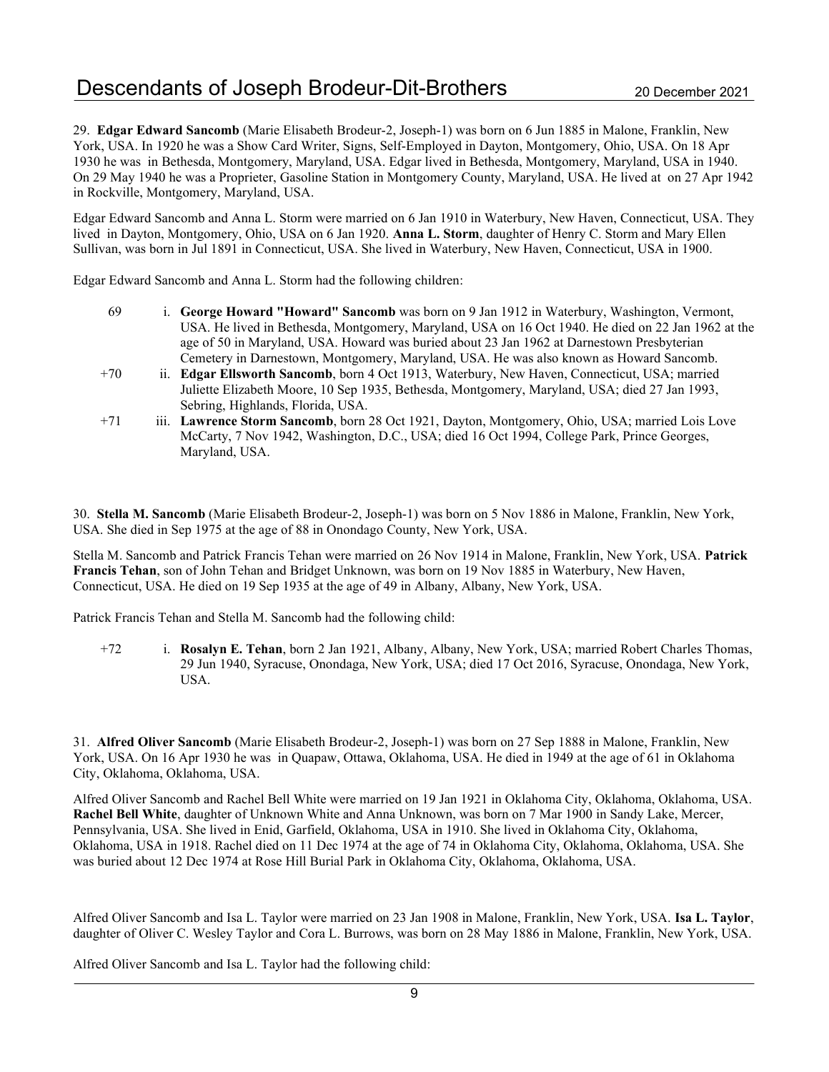29. Edgar Edward Sancomb (Marie Elisabeth Brodeur-2, Joseph-1) was born on 6 Jun 1885 in Malone, Franklin, New York, USA. In 1920 he was a Show Card Writer, Signs, Self-Employed in Dayton, Montgomery, Ohio, USA. On 18 Apr 1930 he was in Bethesda, Montgomery, Maryland, USA. Edgar lived in Bethesda, Montgomery, Maryland, USA in 1940. On 29 May 1940 he was a Proprieter, Gasoline Station in Montgomery County, Maryland, USA. He lived at on 27 Apr 1942 in Rockville, Montgomery, Maryland, USA.

Edgar Edward Sancomb and Anna L. Storm were married on 6 Jan 1910 in Waterbury, New Haven, Connecticut, USA. They lived in Dayton, Montgomery, Ohio, USA on 6 Jan 1920. Anna L. Storm, daughter of Henry C. Storm and Mary Ellen Sullivan, was born in Jul 1891 in Connecticut, USA. She lived in Waterbury, New Haven, Connecticut, USA in 1900.

Edgar Edward Sancomb and Anna L. Storm had the following children:

- 69 i. George Howard "Howard" Sancomb was born on 9 Jan 1912 in Waterbury, Washington, Vermont, USA. He lived in Bethesda, Montgomery, Maryland, USA on 16 Oct 1940. He died on 22 Jan 1962 at the age of 50 in Maryland, USA. Howard was buried about 23 Jan 1962 at Darnestown Presbyterian Cemetery in Darnestown, Montgomery, Maryland, USA. He was also known as Howard Sancomb.
- +70 ii. Edgar Ellsworth Sancomb, born 4 Oct 1913, Waterbury, New Haven, Connecticut, USA; married Juliette Elizabeth Moore, 10 Sep 1935, Bethesda, Montgomery, Maryland, USA; died 27 Jan 1993, Sebring, Highlands, Florida, USA.
- +71 iii. Lawrence Storm Sancomb, born 28 Oct 1921, Dayton, Montgomery, Ohio, USA; married Lois Love McCarty, 7 Nov 1942, Washington, D.C., USA; died 16 Oct 1994, College Park, Prince Georges, Maryland, USA.

30. Stella M. Sancomb (Marie Elisabeth Brodeur-2, Joseph-1) was born on 5 Nov 1886 in Malone, Franklin, New York, USA. She died in Sep 1975 at the age of 88 in Onondago County, New York, USA.

Stella M. Sancomb and Patrick Francis Tehan were married on 26 Nov 1914 in Malone, Franklin, New York, USA. Patrick Francis Tehan, son of John Tehan and Bridget Unknown, was born on 19 Nov 1885 in Waterbury, New Haven, Connecticut, USA. He died on 19 Sep 1935 at the age of 49 in Albany, Albany, New York, USA.

Patrick Francis Tehan and Stella M. Sancomb had the following child:

+72 i. Rosalyn E. Tehan, born 2 Jan 1921, Albany, Albany, New York, USA; married Robert Charles Thomas, 29 Jun 1940, Syracuse, Onondaga, New York, USA; died 17 Oct 2016, Syracuse, Onondaga, New York, USA.

31. Alfred Oliver Sancomb (Marie Elisabeth Brodeur-2, Joseph-1) was born on 27 Sep 1888 in Malone, Franklin, New York, USA. On 16 Apr 1930 he was in Quapaw, Ottawa, Oklahoma, USA. He died in 1949 at the age of 61 in Oklahoma City, Oklahoma, Oklahoma, USA.

Alfred Oliver Sancomb and Rachel Bell White were married on 19 Jan 1921 in Oklahoma City, Oklahoma, Oklahoma, USA. Rachel Bell White, daughter of Unknown White and Anna Unknown, was born on 7 Mar 1900 in Sandy Lake, Mercer, Pennsylvania, USA. She lived in Enid, Garfield, Oklahoma, USA in 1910. She lived in Oklahoma City, Oklahoma, Oklahoma, USA in 1918. Rachel died on 11 Dec 1974 at the age of 74 in Oklahoma City, Oklahoma, Oklahoma, USA. She was buried about 12 Dec 1974 at Rose Hill Burial Park in Oklahoma City, Oklahoma, Oklahoma, USA.

Alfred Oliver Sancomb and Isa L. Taylor were married on 23 Jan 1908 in Malone, Franklin, New York, USA. Isa L. Taylor, daughter of Oliver C. Wesley Taylor and Cora L. Burrows, was born on 28 May 1886 in Malone, Franklin, New York, USA.

Alfred Oliver Sancomb and Isa L. Taylor had the following child: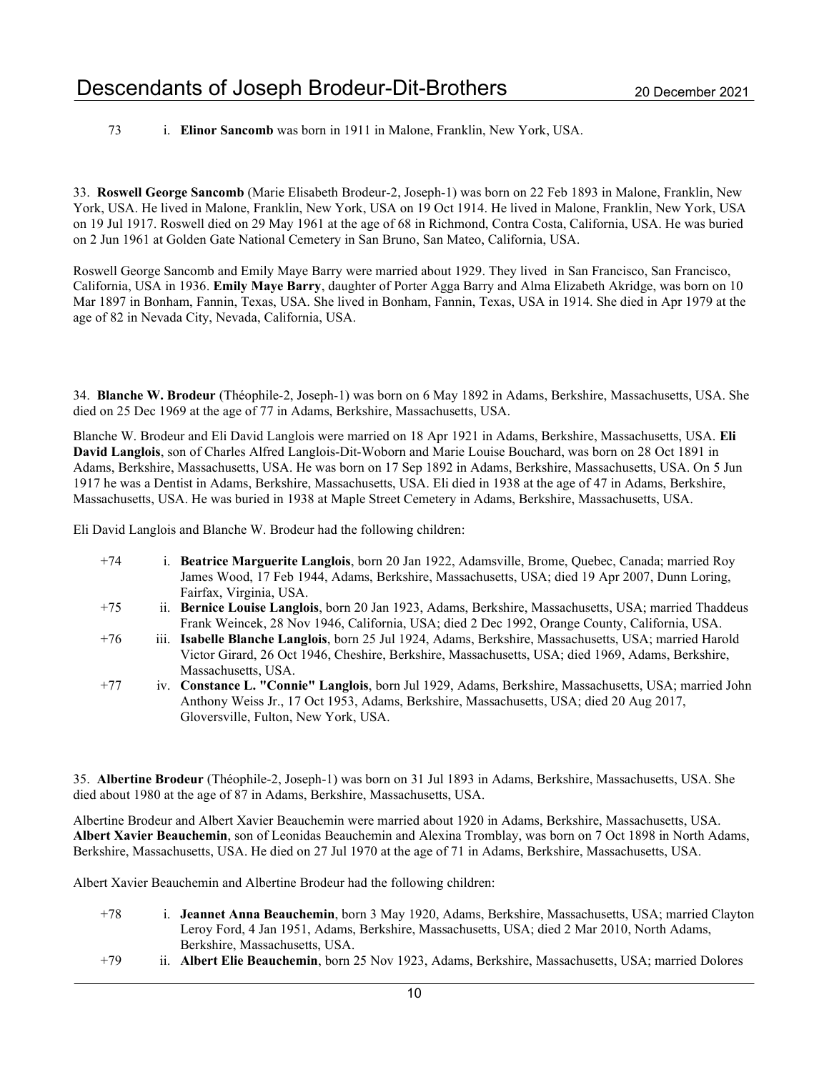73 i. Elinor Sancomb was born in 1911 in Malone, Franklin, New York, USA.

33. Roswell George Sancomb (Marie Elisabeth Brodeur-2, Joseph-1) was born on 22 Feb 1893 in Malone, Franklin, New York, USA. He lived in Malone, Franklin, New York, USA on 19 Oct 1914. He lived in Malone, Franklin, New York, USA on 19 Jul 1917. Roswell died on 29 May 1961 at the age of 68 in Richmond, Contra Costa, California, USA. He was buried on 2 Jun 1961 at Golden Gate National Cemetery in San Bruno, San Mateo, California, USA.

Roswell George Sancomb and Emily Maye Barry were married about 1929. They lived in San Francisco, San Francisco, California, USA in 1936. Emily Maye Barry, daughter of Porter Agga Barry and Alma Elizabeth Akridge, was born on 10 Mar 1897 in Bonham, Fannin, Texas, USA. She lived in Bonham, Fannin, Texas, USA in 1914. She died in Apr 1979 at the age of 82 in Nevada City, Nevada, California, USA.

34. Blanche W. Brodeur (Théophile-2, Joseph-1) was born on 6 May 1892 in Adams, Berkshire, Massachusetts, USA. She died on 25 Dec 1969 at the age of 77 in Adams, Berkshire, Massachusetts, USA.

Blanche W. Brodeur and Eli David Langlois were married on 18 Apr 1921 in Adams, Berkshire, Massachusetts, USA. Eli David Langlois, son of Charles Alfred Langlois-Dit-Woborn and Marie Louise Bouchard, was born on 28 Oct 1891 in Adams, Berkshire, Massachusetts, USA. He was born on 17 Sep 1892 in Adams, Berkshire, Massachusetts, USA. On 5 Jun 1917 he was a Dentist in Adams, Berkshire, Massachusetts, USA. Eli died in 1938 at the age of 47 in Adams, Berkshire, Massachusetts, USA. He was buried in 1938 at Maple Street Cemetery in Adams, Berkshire, Massachusetts, USA.

Eli David Langlois and Blanche W. Brodeur had the following children:

- +74 i. Beatrice Marguerite Langlois, born 20 Jan 1922, Adamsville, Brome, Quebec, Canada; married Roy James Wood, 17 Feb 1944, Adams, Berkshire, Massachusetts, USA; died 19 Apr 2007, Dunn Loring, Fairfax, Virginia, USA.
- +75 ii. Bernice Louise Langlois, born 20 Jan 1923, Adams, Berkshire, Massachusetts, USA; married Thaddeus Frank Weincek, 28 Nov 1946, California, USA; died 2 Dec 1992, Orange County, California, USA.
- +76 iii. Isabelle Blanche Langlois, born 25 Jul 1924, Adams, Berkshire, Massachusetts, USA; married Harold Victor Girard, 26 Oct 1946, Cheshire, Berkshire, Massachusetts, USA; died 1969, Adams, Berkshire, Massachusetts, USA.
- +77 iv. Constance L. "Connie" Langlois, born Jul 1929, Adams, Berkshire, Massachusetts, USA; married John Anthony Weiss Jr., 17 Oct 1953, Adams, Berkshire, Massachusetts, USA; died 20 Aug 2017, Gloversville, Fulton, New York, USA.

35. Albertine Brodeur (Théophile-2, Joseph-1) was born on 31 Jul 1893 in Adams, Berkshire, Massachusetts, USA. She died about 1980 at the age of 87 in Adams, Berkshire, Massachusetts, USA.

Albertine Brodeur and Albert Xavier Beauchemin were married about 1920 in Adams, Berkshire, Massachusetts, USA. Albert Xavier Beauchemin, son of Leonidas Beauchemin and Alexina Tromblay, was born on 7 Oct 1898 in North Adams, Berkshire, Massachusetts, USA. He died on 27 Jul 1970 at the age of 71 in Adams, Berkshire, Massachusetts, USA.

Albert Xavier Beauchemin and Albertine Brodeur had the following children:

- +78 i. Jeannet Anna Beauchemin, born 3 May 1920, Adams, Berkshire, Massachusetts, USA; married Clayton Leroy Ford, 4 Jan 1951, Adams, Berkshire, Massachusetts, USA; died 2 Mar 2010, North Adams, Berkshire, Massachusetts, USA.
- +79 ii. Albert Elie Beauchemin, born 25 Nov 1923, Adams, Berkshire, Massachusetts, USA; married Dolores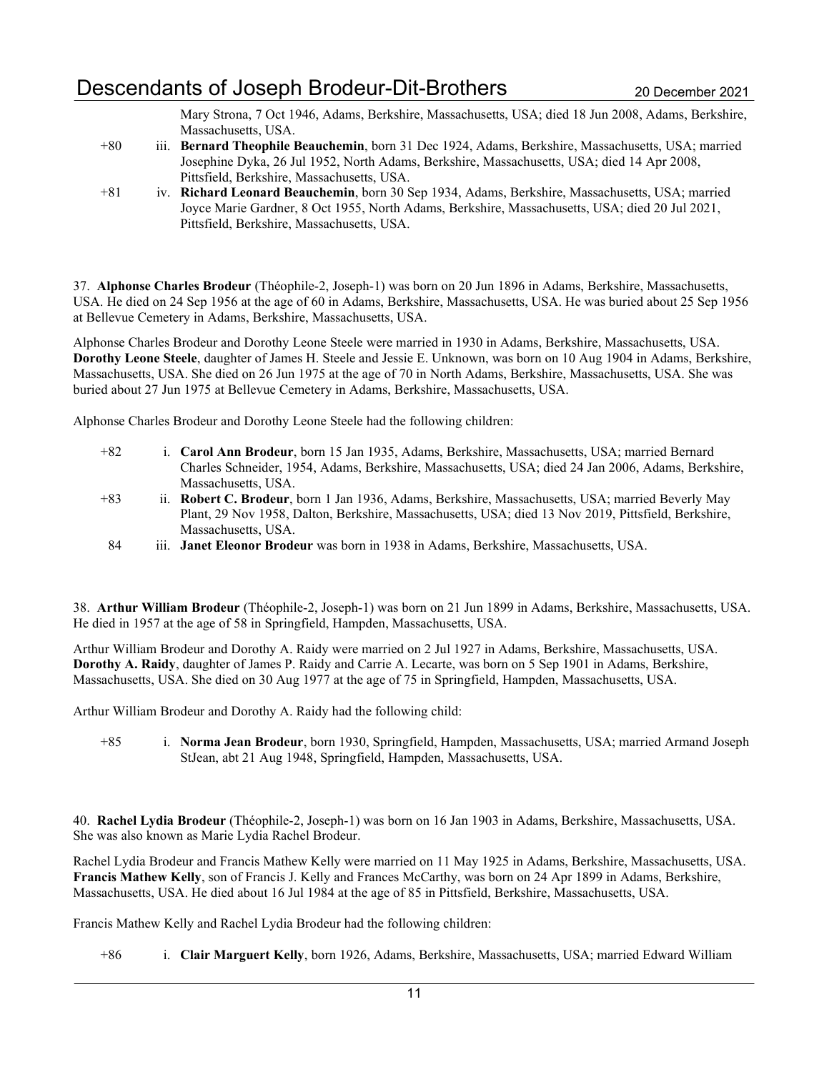## Descendants of Joseph Brodeur-Dit-Brothers 20 December 2021

Mary Strona, 7 Oct 1946, Adams, Berkshire, Massachusetts, USA; died 18 Jun 2008, Adams, Berkshire, Massachusetts, USA.

- +80 iii. Bernard Theophile Beauchemin, born 31 Dec 1924, Adams, Berkshire, Massachusetts, USA; married Josephine Dyka, 26 Jul 1952, North Adams, Berkshire, Massachusetts, USA; died 14 Apr 2008, Pittsfield, Berkshire, Massachusetts, USA.
- +81 iv. Richard Leonard Beauchemin, born 30 Sep 1934, Adams, Berkshire, Massachusetts, USA; married Joyce Marie Gardner, 8 Oct 1955, North Adams, Berkshire, Massachusetts, USA; died 20 Jul 2021, Pittsfield, Berkshire, Massachusetts, USA.

37. Alphonse Charles Brodeur (Théophile-2, Joseph-1) was born on 20 Jun 1896 in Adams, Berkshire, Massachusetts, USA. He died on 24 Sep 1956 at the age of 60 in Adams, Berkshire, Massachusetts, USA. He was buried about 25 Sep 1956 at Bellevue Cemetery in Adams, Berkshire, Massachusetts, USA.

Alphonse Charles Brodeur and Dorothy Leone Steele were married in 1930 in Adams, Berkshire, Massachusetts, USA. Dorothy Leone Steele, daughter of James H. Steele and Jessie E. Unknown, was born on 10 Aug 1904 in Adams, Berkshire, Massachusetts, USA. She died on 26 Jun 1975 at the age of 70 in North Adams, Berkshire, Massachusetts, USA. She was buried about 27 Jun 1975 at Bellevue Cemetery in Adams, Berkshire, Massachusetts, USA.

Alphonse Charles Brodeur and Dorothy Leone Steele had the following children:

- +82 i. Carol Ann Brodeur, born 15 Jan 1935, Adams, Berkshire, Massachusetts, USA; married Bernard Charles Schneider, 1954, Adams, Berkshire, Massachusetts, USA; died 24 Jan 2006, Adams, Berkshire, Massachusetts, USA.
- +83 ii. Robert C. Brodeur, born 1 Jan 1936, Adams, Berkshire, Massachusetts, USA; married Beverly May Plant, 29 Nov 1958, Dalton, Berkshire, Massachusetts, USA; died 13 Nov 2019, Pittsfield, Berkshire, Massachusetts, USA.
- 84 iii. Janet Eleonor Brodeur was born in 1938 in Adams, Berkshire, Massachusetts, USA.

38. Arthur William Brodeur (Théophile-2, Joseph-1) was born on 21 Jun 1899 in Adams, Berkshire, Massachusetts, USA. He died in 1957 at the age of 58 in Springfield, Hampden, Massachusetts, USA.

Arthur William Brodeur and Dorothy A. Raidy were married on 2 Jul 1927 in Adams, Berkshire, Massachusetts, USA. Dorothy A. Raidy, daughter of James P. Raidy and Carrie A. Lecarte, was born on 5 Sep 1901 in Adams, Berkshire, Massachusetts, USA. She died on 30 Aug 1977 at the age of 75 in Springfield, Hampden, Massachusetts, USA.

Arthur William Brodeur and Dorothy A. Raidy had the following child:

+85 i. Norma Jean Brodeur, born 1930, Springfield, Hampden, Massachusetts, USA; married Armand Joseph StJean, abt 21 Aug 1948, Springfield, Hampden, Massachusetts, USA.

40. Rachel Lydia Brodeur (Théophile-2, Joseph-1) was born on 16 Jan 1903 in Adams, Berkshire, Massachusetts, USA. She was also known as Marie Lydia Rachel Brodeur.

Rachel Lydia Brodeur and Francis Mathew Kelly were married on 11 May 1925 in Adams, Berkshire, Massachusetts, USA. Francis Mathew Kelly, son of Francis J. Kelly and Frances McCarthy, was born on 24 Apr 1899 in Adams, Berkshire, Massachusetts, USA. He died about 16 Jul 1984 at the age of 85 in Pittsfield, Berkshire, Massachusetts, USA.

Francis Mathew Kelly and Rachel Lydia Brodeur had the following children:

+86 i. Clair Marguert Kelly, born 1926, Adams, Berkshire, Massachusetts, USA; married Edward William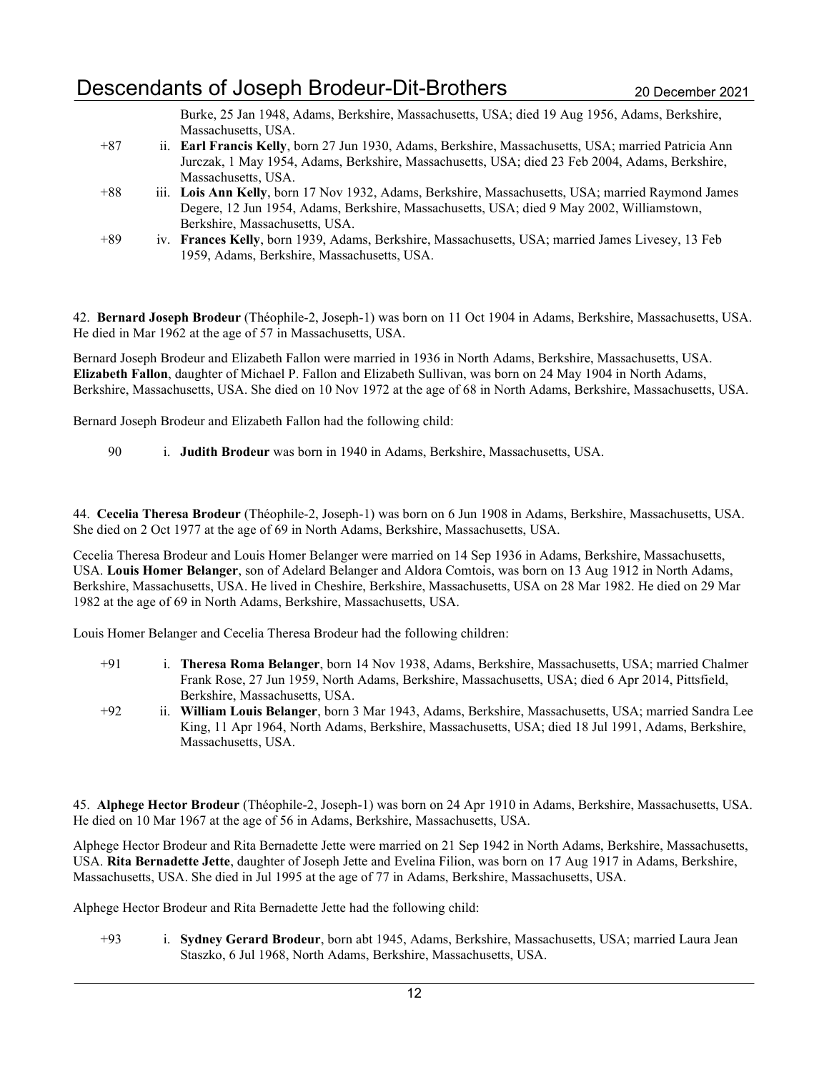Burke, 25 Jan 1948, Adams, Berkshire, Massachusetts, USA; died 19 Aug 1956, Adams, Berkshire, Massachusetts, USA.

- +87 ii. Earl Francis Kelly, born 27 Jun 1930, Adams, Berkshire, Massachusetts, USA; married Patricia Ann Jurczak, 1 May 1954, Adams, Berkshire, Massachusetts, USA; died 23 Feb 2004, Adams, Berkshire, Massachusetts, USA.
- +88 iii. Lois Ann Kelly, born 17 Nov 1932, Adams, Berkshire, Massachusetts, USA; married Raymond James Degere, 12 Jun 1954, Adams, Berkshire, Massachusetts, USA; died 9 May 2002, Williamstown, Berkshire, Massachusetts, USA.
- +89 iv. Frances Kelly, born 1939, Adams, Berkshire, Massachusetts, USA; married James Livesey, 13 Feb 1959, Adams, Berkshire, Massachusetts, USA.

42. Bernard Joseph Brodeur (Théophile-2, Joseph-1) was born on 11 Oct 1904 in Adams, Berkshire, Massachusetts, USA. He died in Mar 1962 at the age of 57 in Massachusetts, USA.

Bernard Joseph Brodeur and Elizabeth Fallon were married in 1936 in North Adams, Berkshire, Massachusetts, USA. Elizabeth Fallon, daughter of Michael P. Fallon and Elizabeth Sullivan, was born on 24 May 1904 in North Adams, Berkshire, Massachusetts, USA. She died on 10 Nov 1972 at the age of 68 in North Adams, Berkshire, Massachusetts, USA.

Bernard Joseph Brodeur and Elizabeth Fallon had the following child:

90 i. Judith Brodeur was born in 1940 in Adams, Berkshire, Massachusetts, USA.

44. Cecelia Theresa Brodeur (Théophile-2, Joseph-1) was born on 6 Jun 1908 in Adams, Berkshire, Massachusetts, USA. She died on 2 Oct 1977 at the age of 69 in North Adams, Berkshire, Massachusetts, USA.

Cecelia Theresa Brodeur and Louis Homer Belanger were married on 14 Sep 1936 in Adams, Berkshire, Massachusetts, USA. Louis Homer Belanger, son of Adelard Belanger and Aldora Comtois, was born on 13 Aug 1912 in North Adams, Berkshire, Massachusetts, USA. He lived in Cheshire, Berkshire, Massachusetts, USA on 28 Mar 1982. He died on 29 Mar 1982 at the age of 69 in North Adams, Berkshire, Massachusetts, USA.

Louis Homer Belanger and Cecelia Theresa Brodeur had the following children:

- +91 i. Theresa Roma Belanger, born 14 Nov 1938, Adams, Berkshire, Massachusetts, USA; married Chalmer Frank Rose, 27 Jun 1959, North Adams, Berkshire, Massachusetts, USA; died 6 Apr 2014, Pittsfield, Berkshire, Massachusetts, USA.
- +92 ii. William Louis Belanger, born 3 Mar 1943, Adams, Berkshire, Massachusetts, USA; married Sandra Lee King, 11 Apr 1964, North Adams, Berkshire, Massachusetts, USA; died 18 Jul 1991, Adams, Berkshire, Massachusetts, USA.

45. Alphege Hector Brodeur (Théophile-2, Joseph-1) was born on 24 Apr 1910 in Adams, Berkshire, Massachusetts, USA. He died on 10 Mar 1967 at the age of 56 in Adams, Berkshire, Massachusetts, USA.

Alphege Hector Brodeur and Rita Bernadette Jette were married on 21 Sep 1942 in North Adams, Berkshire, Massachusetts, USA. Rita Bernadette Jette, daughter of Joseph Jette and Evelina Filion, was born on 17 Aug 1917 in Adams, Berkshire, Massachusetts, USA. She died in Jul 1995 at the age of 77 in Adams, Berkshire, Massachusetts, USA.

Alphege Hector Brodeur and Rita Bernadette Jette had the following child:

+93 i. Sydney Gerard Brodeur, born abt 1945, Adams, Berkshire, Massachusetts, USA; married Laura Jean Staszko, 6 Jul 1968, North Adams, Berkshire, Massachusetts, USA.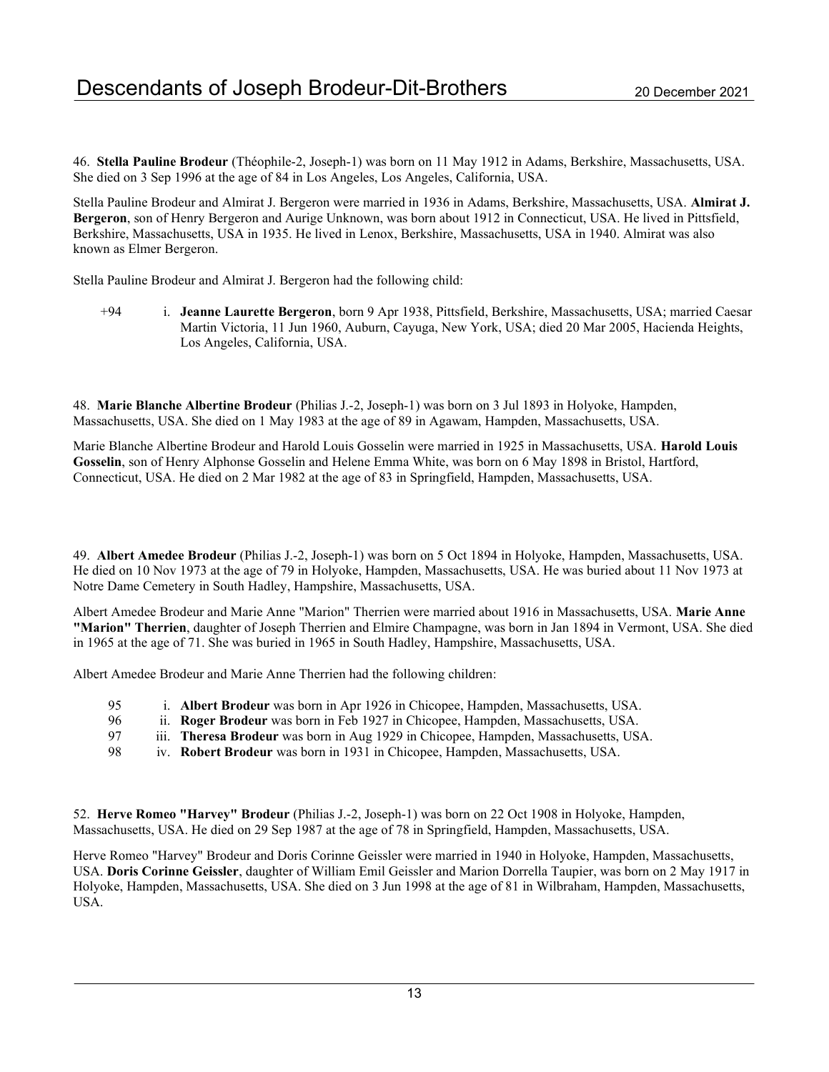46. Stella Pauline Brodeur (Théophile-2, Joseph-1) was born on 11 May 1912 in Adams, Berkshire, Massachusetts, USA. She died on 3 Sep 1996 at the age of 84 in Los Angeles, Los Angeles, California, USA.

Stella Pauline Brodeur and Almirat J. Bergeron were married in 1936 in Adams, Berkshire, Massachusetts, USA. Almirat J. Bergeron, son of Henry Bergeron and Aurige Unknown, was born about 1912 in Connecticut, USA. He lived in Pittsfield, Berkshire, Massachusetts, USA in 1935. He lived in Lenox, Berkshire, Massachusetts, USA in 1940. Almirat was also known as Elmer Bergeron.

Stella Pauline Brodeur and Almirat J. Bergeron had the following child:

+94 i. Jeanne Laurette Bergeron, born 9 Apr 1938, Pittsfield, Berkshire, Massachusetts, USA; married Caesar Martin Victoria, 11 Jun 1960, Auburn, Cayuga, New York, USA; died 20 Mar 2005, Hacienda Heights, Los Angeles, California, USA.

48. Marie Blanche Albertine Brodeur (Philias J.-2, Joseph-1) was born on 3 Jul 1893 in Holyoke, Hampden, Massachusetts, USA. She died on 1 May 1983 at the age of 89 in Agawam, Hampden, Massachusetts, USA.

Marie Blanche Albertine Brodeur and Harold Louis Gosselin were married in 1925 in Massachusetts, USA. Harold Louis Gosselin, son of Henry Alphonse Gosselin and Helene Emma White, was born on 6 May 1898 in Bristol, Hartford, Connecticut, USA. He died on 2 Mar 1982 at the age of 83 in Springfield, Hampden, Massachusetts, USA.

49. Albert Amedee Brodeur (Philias J.-2, Joseph-1) was born on 5 Oct 1894 in Holyoke, Hampden, Massachusetts, USA. He died on 10 Nov 1973 at the age of 79 in Holyoke, Hampden, Massachusetts, USA. He was buried about 11 Nov 1973 at Notre Dame Cemetery in South Hadley, Hampshire, Massachusetts, USA.

Albert Amedee Brodeur and Marie Anne "Marion" Therrien were married about 1916 in Massachusetts, USA. Marie Anne "Marion" Therrien, daughter of Joseph Therrien and Elmire Champagne, was born in Jan 1894 in Vermont, USA. She died in 1965 at the age of 71. She was buried in 1965 in South Hadley, Hampshire, Massachusetts, USA.

Albert Amedee Brodeur and Marie Anne Therrien had the following children:

- 95 i. Albert Brodeur was born in Apr 1926 in Chicopee, Hampden, Massachusetts, USA.
- 96 ii. Roger Brodeur was born in Feb 1927 in Chicopee, Hampden, Massachusetts, USA.<br>97 iii. Theresa Brodeur was born in Aug 1929 in Chicopee, Hampden, Massachusetts, US.
- 97 iii. Theresa Brodeur was born in Aug 1929 in Chicopee, Hampden, Massachusetts, USA.<br>98 iv. Robert Brodeur was born in 1931 in Chicopee. Hampden. Massachusetts. USA.
- iv. Robert Brodeur was born in 1931 in Chicopee, Hampden, Massachusetts, USA.

52. Herve Romeo "Harvey" Brodeur (Philias J.-2, Joseph-1) was born on 22 Oct 1908 in Holyoke, Hampden, Massachusetts, USA. He died on 29 Sep 1987 at the age of 78 in Springfield, Hampden, Massachusetts, USA.

Herve Romeo "Harvey" Brodeur and Doris Corinne Geissler were married in 1940 in Holyoke, Hampden, Massachusetts, USA. Doris Corinne Geissler, daughter of William Emil Geissler and Marion Dorrella Taupier, was born on 2 May 1917 in Holyoke, Hampden, Massachusetts, USA. She died on 3 Jun 1998 at the age of 81 in Wilbraham, Hampden, Massachusetts, USA.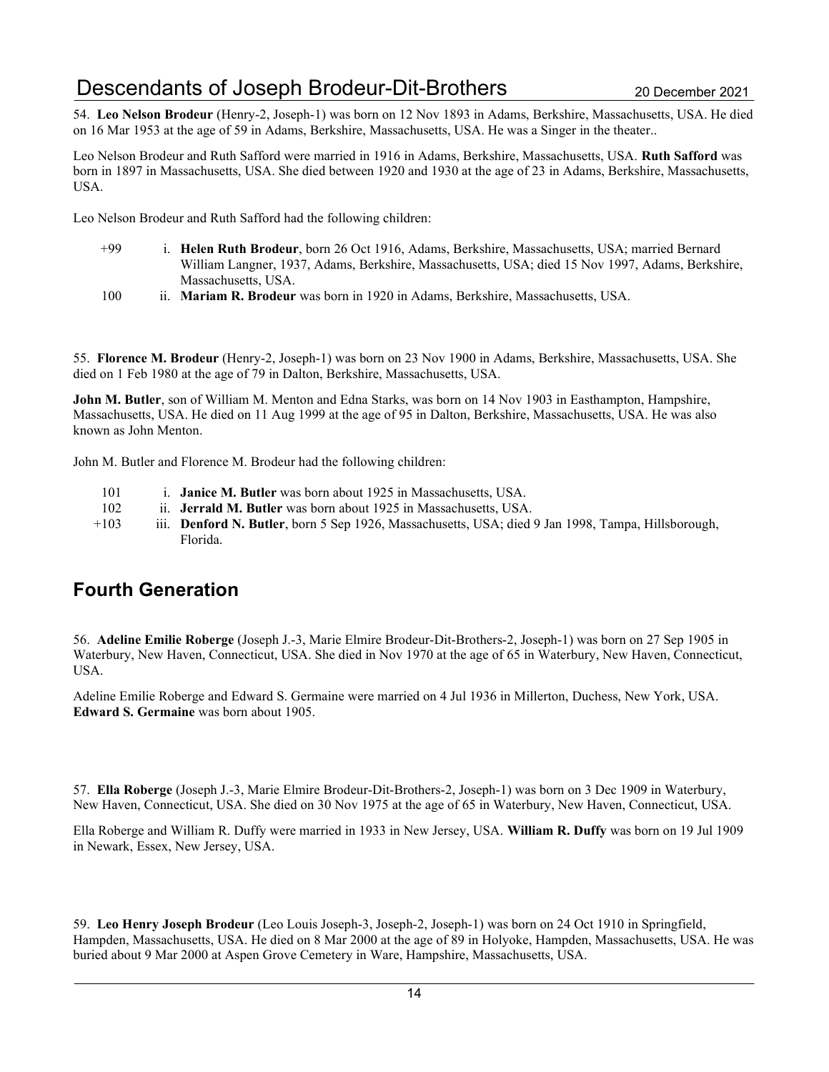54. Leo Nelson Brodeur (Henry-2, Joseph-1) was born on 12 Nov 1893 in Adams, Berkshire, Massachusetts, USA. He died on 16 Mar 1953 at the age of 59 in Adams, Berkshire, Massachusetts, USA. He was a Singer in the theater..

Leo Nelson Brodeur and Ruth Safford were married in 1916 in Adams, Berkshire, Massachusetts, USA. Ruth Safford was born in 1897 in Massachusetts, USA. She died between 1920 and 1930 at the age of 23 in Adams, Berkshire, Massachusetts, USA.

Leo Nelson Brodeur and Ruth Safford had the following children:

- +99 i. Helen Ruth Brodeur, born 26 Oct 1916, Adams, Berkshire, Massachusetts, USA; married Bernard William Langner, 1937, Adams, Berkshire, Massachusetts, USA; died 15 Nov 1997, Adams, Berkshire, Massachusetts, USA.
- 100 ii. Mariam R. Brodeur was born in 1920 in Adams, Berkshire, Massachusetts, USA.

55. Florence M. Brodeur (Henry-2, Joseph-1) was born on 23 Nov 1900 in Adams, Berkshire, Massachusetts, USA. She died on 1 Feb 1980 at the age of 79 in Dalton, Berkshire, Massachusetts, USA.

John M. Butler, son of William M. Menton and Edna Starks, was born on 14 Nov 1903 in Easthampton, Hampshire, Massachusetts, USA. He died on 11 Aug 1999 at the age of 95 in Dalton, Berkshire, Massachusetts, USA. He was also known as John Menton.

John M. Butler and Florence M. Brodeur had the following children:

- 101 i. **Janice M. Butler** was born about 1925 in Massachusetts, USA.
- 102 ii. Jerrald M. Butler was born about 1925 in Massachusetts, USA.
- +103 iii. Denford N. Butler, born 5 Sep 1926, Massachusetts, USA; died 9 Jan 1998, Tampa, Hillsborough, Florida.

## Fourth Generation

56. Adeline Emilie Roberge (Joseph J.-3, Marie Elmire Brodeur-Dit-Brothers-2, Joseph-1) was born on 27 Sep 1905 in Waterbury, New Haven, Connecticut, USA. She died in Nov 1970 at the age of 65 in Waterbury, New Haven, Connecticut, USA.

Adeline Emilie Roberge and Edward S. Germaine were married on 4 Jul 1936 in Millerton, Duchess, New York, USA. Edward S. Germaine was born about 1905.

57. Ella Roberge (Joseph J.-3, Marie Elmire Brodeur-Dit-Brothers-2, Joseph-1) was born on 3 Dec 1909 in Waterbury, New Haven, Connecticut, USA. She died on 30 Nov 1975 at the age of 65 in Waterbury, New Haven, Connecticut, USA.

Ella Roberge and William R. Duffy were married in 1933 in New Jersey, USA. William R. Duffy was born on 19 Jul 1909 in Newark, Essex, New Jersey, USA.

59. Leo Henry Joseph Brodeur (Leo Louis Joseph-3, Joseph-2, Joseph-1) was born on 24 Oct 1910 in Springfield, Hampden, Massachusetts, USA. He died on 8 Mar 2000 at the age of 89 in Holyoke, Hampden, Massachusetts, USA. He was buried about 9 Mar 2000 at Aspen Grove Cemetery in Ware, Hampshire, Massachusetts, USA.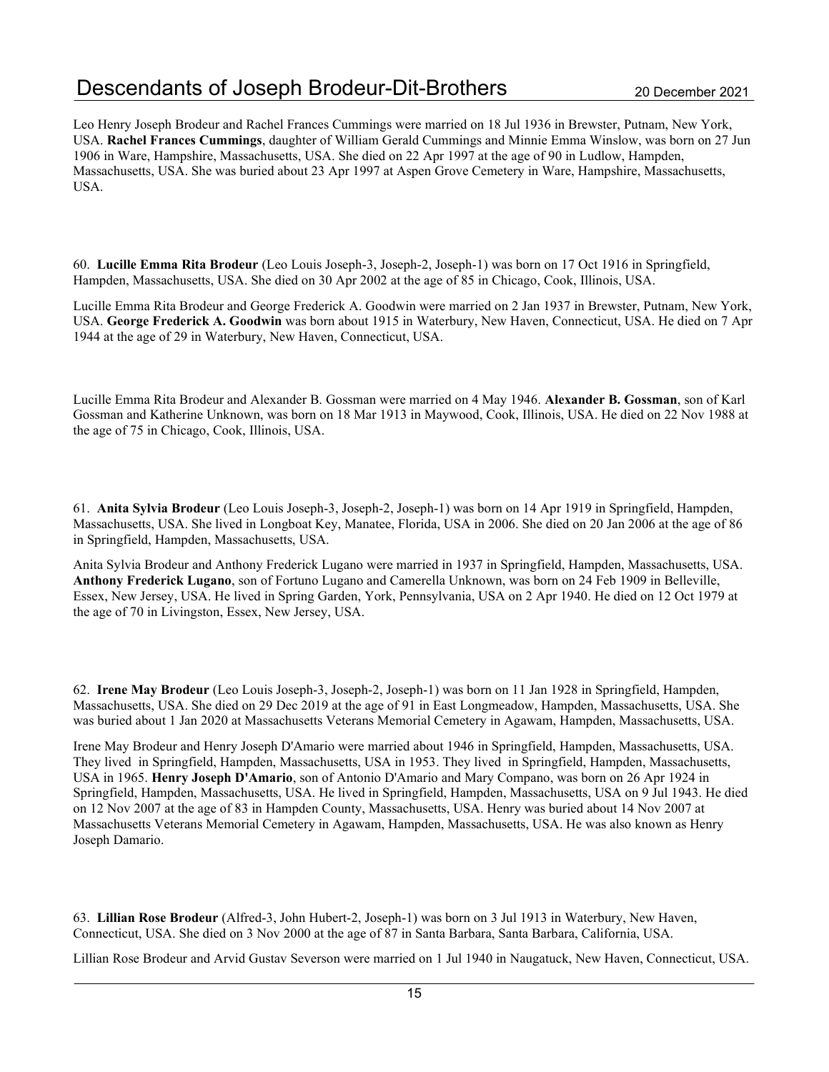Leo Henry Joseph Brodeur and Rachel Frances Cummings were married on 18 Jul 1936 in Brewster, Putnam, New York, USA. Rachel Frances Cummings, daughter of William Gerald Cummings and Minnie Emma Winslow, was born on 27 Jun 1906 in Ware, Hampshire, Massachusetts, USA. She died on 22 Apr 1997 at the age of 90 in Ludlow, Hampden, Massachusetts, USA. She was buried about 23 Apr 1997 at Aspen Grove Cemetery in Ware, Hampshire, Massachusetts, USA.

60. Lucille Emma Rita Brodeur (Leo Louis Joseph-3, Joseph-2, Joseph-1) was born on 17 Oct 1916 in Springfield, Hampden, Massachusetts, USA. She died on 30 Apr 2002 at the age of 85 in Chicago, Cook, Illinois, USA.

Lucille Emma Rita Brodeur and George Frederick A. Goodwin were married on 2 Jan 1937 in Brewster, Putnam, New York, USA. George Frederick A. Goodwin was born about 1915 in Waterbury, New Haven, Connecticut, USA. He died on 7 Apr 1944 at the age of 29 in Waterbury, New Haven, Connecticut, USA.

Lucille Emma Rita Brodeur and Alexander B. Gossman were married on 4 May 1946. Alexander B. Gossman, son of Karl Gossman and Katherine Unknown, was born on 18 Mar 1913 in Maywood, Cook, Illinois, USA. He died on 22 Nov 1988 at the age of 75 in Chicago, Cook, Illinois, USA.

61. Anita Sylvia Brodeur (Leo Louis Joseph-3, Joseph-2, Joseph-1) was born on 14 Apr 1919 in Springfield, Hampden, Massachusetts, USA. She lived in Longboat Key, Manatee, Florida, USA in 2006. She died on 20 Jan 2006 at the age of 86 in Springfield, Hampden, Massachusetts, USA.

Anita Sylvia Brodeur and Anthony Frederick Lugano were married in 1937 in Springfield, Hampden, Massachusetts, USA. Anthony Frederick Lugano, son of Fortuno Lugano and Camerella Unknown, was born on 24 Feb 1909 in Belleville, Essex, New Jersey, USA. He lived in Spring Garden, York, Pennsylvania, USA on 2 Apr 1940. He died on 12 Oct 1979 at the age of 70 in Livingston, Essex, New Jersey, USA.

62. Irene May Brodeur (Leo Louis Joseph-3, Joseph-2, Joseph-1) was born on 11 Jan 1928 in Springfield, Hampden, Massachusetts, USA. She died on 29 Dec 2019 at the age of 91 in East Longmeadow, Hampden, Massachusetts, USA. She was buried about 1 Jan 2020 at Massachusetts Veterans Memorial Cemetery in Agawam, Hampden, Massachusetts, USA.

Irene May Brodeur and Henry Joseph D'Amario were married about 1946 in Springfield, Hampden, Massachusetts, USA. They lived in Springfield, Hampden, Massachusetts, USA in 1953. They lived in Springfield, Hampden, Massachusetts, USA in 1965. Henry Joseph D'Amario, son of Antonio D'Amario and Mary Compano, was born on 26 Apr 1924 in Springfield, Hampden, Massachusetts, USA. He lived in Springfield, Hampden, Massachusetts, USA on 9 Jul 1943. He died on 12 Nov 2007 at the age of 83 in Hampden County, Massachusetts, USA. Henry was buried about 14 Nov 2007 at Massachusetts Veterans Memorial Cemetery in Agawam, Hampden, Massachusetts, USA. He was also known as Henry Joseph Damario.

63. Lillian Rose Brodeur (Alfred-3, John Hubert-2, Joseph-1) was born on 3 Jul 1913 in Waterbury, New Haven, Connecticut, USA. She died on 3 Nov 2000 at the age of 87 in Santa Barbara, Santa Barbara, California, USA.

Lillian Rose Brodeur and Arvid Gustav Severson were married on 1 Jul 1940 in Naugatuck, New Haven, Connecticut, USA.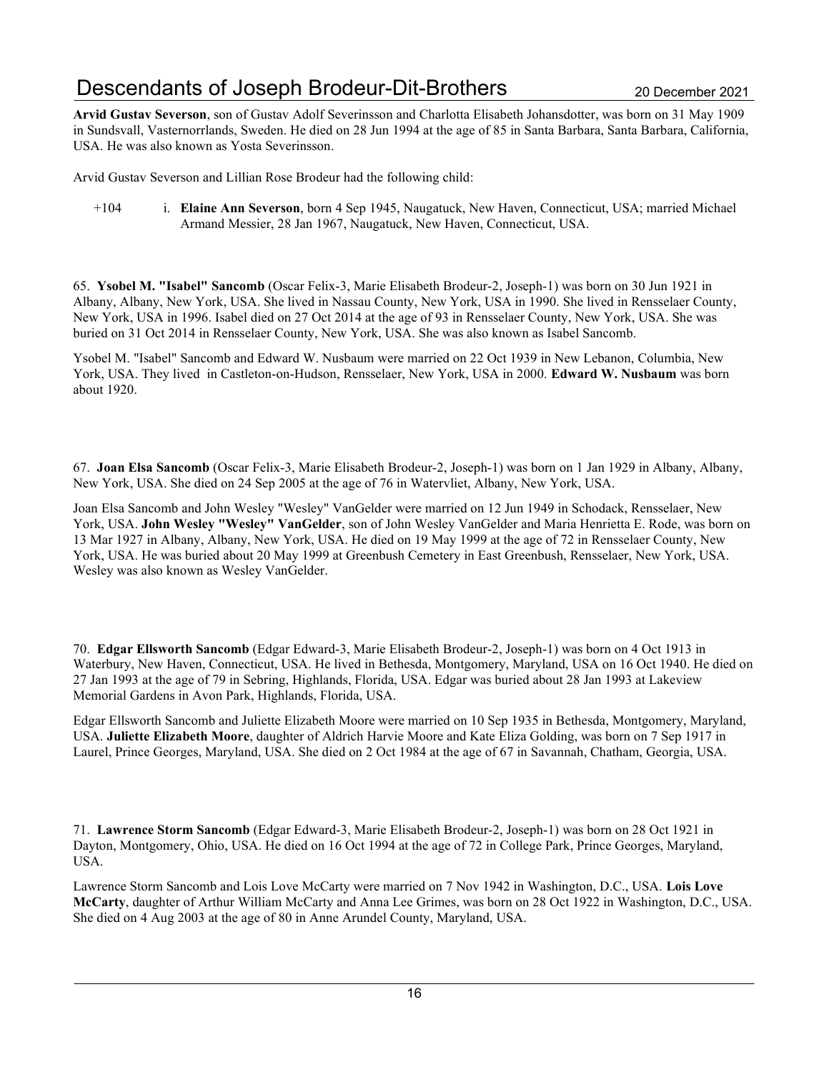# Descendants of Joseph Brodeur-Dit-Brothers 20 December 2021

Arvid Gustav Severson, son of Gustav Adolf Severinsson and Charlotta Elisabeth Johansdotter, was born on 31 May 1909 in Sundsvall, Vasternorrlands, Sweden. He died on 28 Jun 1994 at the age of 85 in Santa Barbara, Santa Barbara, California, USA. He was also known as Yosta Severinsson.

Arvid Gustav Severson and Lillian Rose Brodeur had the following child:

+104 i. Elaine Ann Severson, born 4 Sep 1945, Naugatuck, New Haven, Connecticut, USA; married Michael Armand Messier, 28 Jan 1967, Naugatuck, New Haven, Connecticut, USA.

65. Ysobel M. "Isabel" Sancomb (Oscar Felix-3, Marie Elisabeth Brodeur-2, Joseph-1) was born on 30 Jun 1921 in Albany, Albany, New York, USA. She lived in Nassau County, New York, USA in 1990. She lived in Rensselaer County, New York, USA in 1996. Isabel died on 27 Oct 2014 at the age of 93 in Rensselaer County, New York, USA. She was buried on 31 Oct 2014 in Rensselaer County, New York, USA. She was also known as Isabel Sancomb.

Ysobel M. "Isabel" Sancomb and Edward W. Nusbaum were married on 22 Oct 1939 in New Lebanon, Columbia, New York, USA. They lived in Castleton-on-Hudson, Rensselaer, New York, USA in 2000. Edward W. Nusbaum was born about 1920.

67. Joan Elsa Sancomb (Oscar Felix-3, Marie Elisabeth Brodeur-2, Joseph-1) was born on 1 Jan 1929 in Albany, Albany, New York, USA. She died on 24 Sep 2005 at the age of 76 in Watervliet, Albany, New York, USA.

Joan Elsa Sancomb and John Wesley "Wesley" VanGelder were married on 12 Jun 1949 in Schodack, Rensselaer, New York, USA. John Wesley "Wesley" VanGelder, son of John Wesley VanGelder and Maria Henrietta E. Rode, was born on 13 Mar 1927 in Albany, Albany, New York, USA. He died on 19 May 1999 at the age of 72 in Rensselaer County, New York, USA. He was buried about 20 May 1999 at Greenbush Cemetery in East Greenbush, Rensselaer, New York, USA. Wesley was also known as Wesley VanGelder.

70. Edgar Ellsworth Sancomb (Edgar Edward-3, Marie Elisabeth Brodeur-2, Joseph-1) was born on 4 Oct 1913 in Waterbury, New Haven, Connecticut, USA. He lived in Bethesda, Montgomery, Maryland, USA on 16 Oct 1940. He died on 27 Jan 1993 at the age of 79 in Sebring, Highlands, Florida, USA. Edgar was buried about 28 Jan 1993 at Lakeview Memorial Gardens in Avon Park, Highlands, Florida, USA.

Edgar Ellsworth Sancomb and Juliette Elizabeth Moore were married on 10 Sep 1935 in Bethesda, Montgomery, Maryland, USA. Juliette Elizabeth Moore, daughter of Aldrich Harvie Moore and Kate Eliza Golding, was born on 7 Sep 1917 in Laurel, Prince Georges, Maryland, USA. She died on 2 Oct 1984 at the age of 67 in Savannah, Chatham, Georgia, USA.

71. Lawrence Storm Sancomb (Edgar Edward-3, Marie Elisabeth Brodeur-2, Joseph-1) was born on 28 Oct 1921 in Dayton, Montgomery, Ohio, USA. He died on 16 Oct 1994 at the age of 72 in College Park, Prince Georges, Maryland, USA.

Lawrence Storm Sancomb and Lois Love McCarty were married on 7 Nov 1942 in Washington, D.C., USA. Lois Love McCarty, daughter of Arthur William McCarty and Anna Lee Grimes, was born on 28 Oct 1922 in Washington, D.C., USA. She died on 4 Aug 2003 at the age of 80 in Anne Arundel County, Maryland, USA.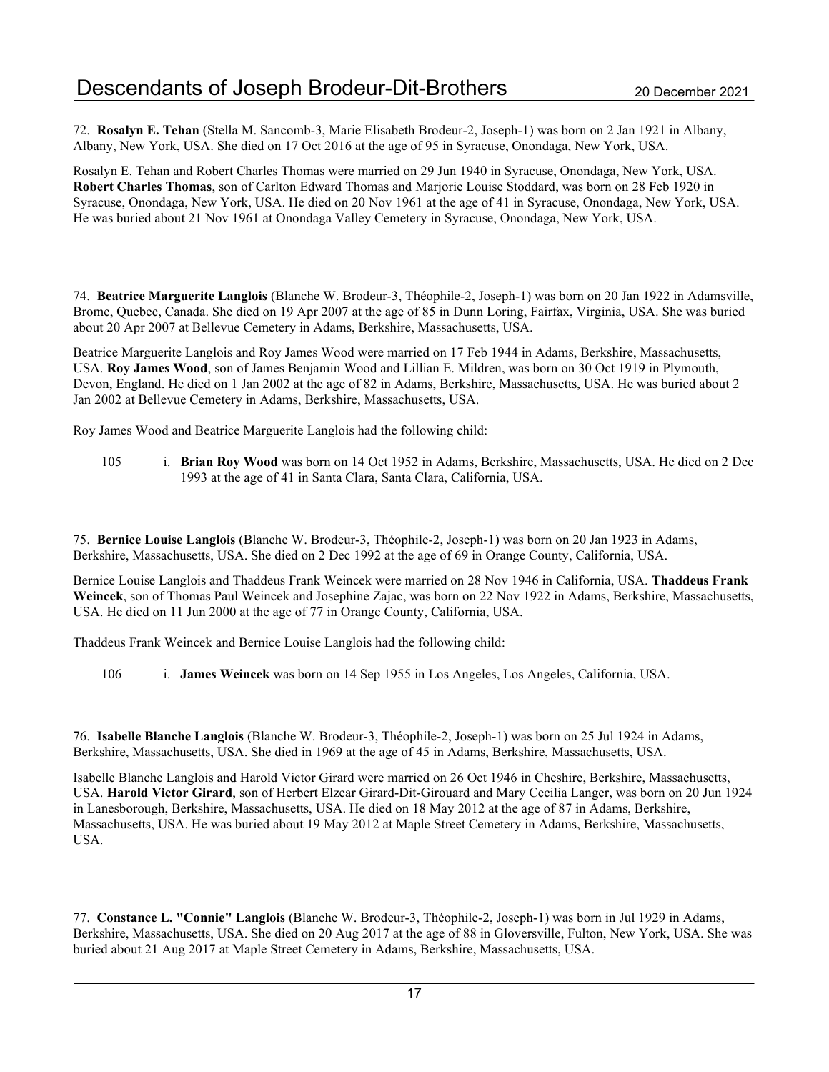72. Rosalyn E. Tehan (Stella M. Sancomb-3, Marie Elisabeth Brodeur-2, Joseph-1) was born on 2 Jan 1921 in Albany, Albany, New York, USA. She died on 17 Oct 2016 at the age of 95 in Syracuse, Onondaga, New York, USA.

Rosalyn E. Tehan and Robert Charles Thomas were married on 29 Jun 1940 in Syracuse, Onondaga, New York, USA. Robert Charles Thomas, son of Carlton Edward Thomas and Marjorie Louise Stoddard, was born on 28 Feb 1920 in Syracuse, Onondaga, New York, USA. He died on 20 Nov 1961 at the age of 41 in Syracuse, Onondaga, New York, USA. He was buried about 21 Nov 1961 at Onondaga Valley Cemetery in Syracuse, Onondaga, New York, USA.

74. Beatrice Marguerite Langlois (Blanche W. Brodeur-3, Théophile-2, Joseph-1) was born on 20 Jan 1922 in Adamsville, Brome, Quebec, Canada. She died on 19 Apr 2007 at the age of 85 in Dunn Loring, Fairfax, Virginia, USA. She was buried about 20 Apr 2007 at Bellevue Cemetery in Adams, Berkshire, Massachusetts, USA.

Beatrice Marguerite Langlois and Roy James Wood were married on 17 Feb 1944 in Adams, Berkshire, Massachusetts, USA. Roy James Wood, son of James Benjamin Wood and Lillian E. Mildren, was born on 30 Oct 1919 in Plymouth, Devon, England. He died on 1 Jan 2002 at the age of 82 in Adams, Berkshire, Massachusetts, USA. He was buried about 2 Jan 2002 at Bellevue Cemetery in Adams, Berkshire, Massachusetts, USA.

Roy James Wood and Beatrice Marguerite Langlois had the following child:

105 i. Brian Roy Wood was born on 14 Oct 1952 in Adams, Berkshire, Massachusetts, USA. He died on 2 Dec 1993 at the age of 41 in Santa Clara, Santa Clara, California, USA.

75. Bernice Louise Langlois (Blanche W. Brodeur-3, Théophile-2, Joseph-1) was born on 20 Jan 1923 in Adams, Berkshire, Massachusetts, USA. She died on 2 Dec 1992 at the age of 69 in Orange County, California, USA.

Bernice Louise Langlois and Thaddeus Frank Weincek were married on 28 Nov 1946 in California, USA. Thaddeus Frank Weincek, son of Thomas Paul Weincek and Josephine Zajac, was born on 22 Nov 1922 in Adams, Berkshire, Massachusetts, USA. He died on 11 Jun 2000 at the age of 77 in Orange County, California, USA.

Thaddeus Frank Weincek and Bernice Louise Langlois had the following child:

106 i. James Weincek was born on 14 Sep 1955 in Los Angeles, Los Angeles, California, USA.

76. Isabelle Blanche Langlois (Blanche W. Brodeur-3, Théophile-2, Joseph-1) was born on 25 Jul 1924 in Adams, Berkshire, Massachusetts, USA. She died in 1969 at the age of 45 in Adams, Berkshire, Massachusetts, USA.

Isabelle Blanche Langlois and Harold Victor Girard were married on 26 Oct 1946 in Cheshire, Berkshire, Massachusetts, USA. Harold Victor Girard, son of Herbert Elzear Girard-Dit-Girouard and Mary Cecilia Langer, was born on 20 Jun 1924 in Lanesborough, Berkshire, Massachusetts, USA. He died on 18 May 2012 at the age of 87 in Adams, Berkshire, Massachusetts, USA. He was buried about 19 May 2012 at Maple Street Cemetery in Adams, Berkshire, Massachusetts, USA.

77. Constance L. "Connie" Langlois (Blanche W. Brodeur-3, Théophile-2, Joseph-1) was born in Jul 1929 in Adams, Berkshire, Massachusetts, USA. She died on 20 Aug 2017 at the age of 88 in Gloversville, Fulton, New York, USA. She was buried about 21 Aug 2017 at Maple Street Cemetery in Adams, Berkshire, Massachusetts, USA.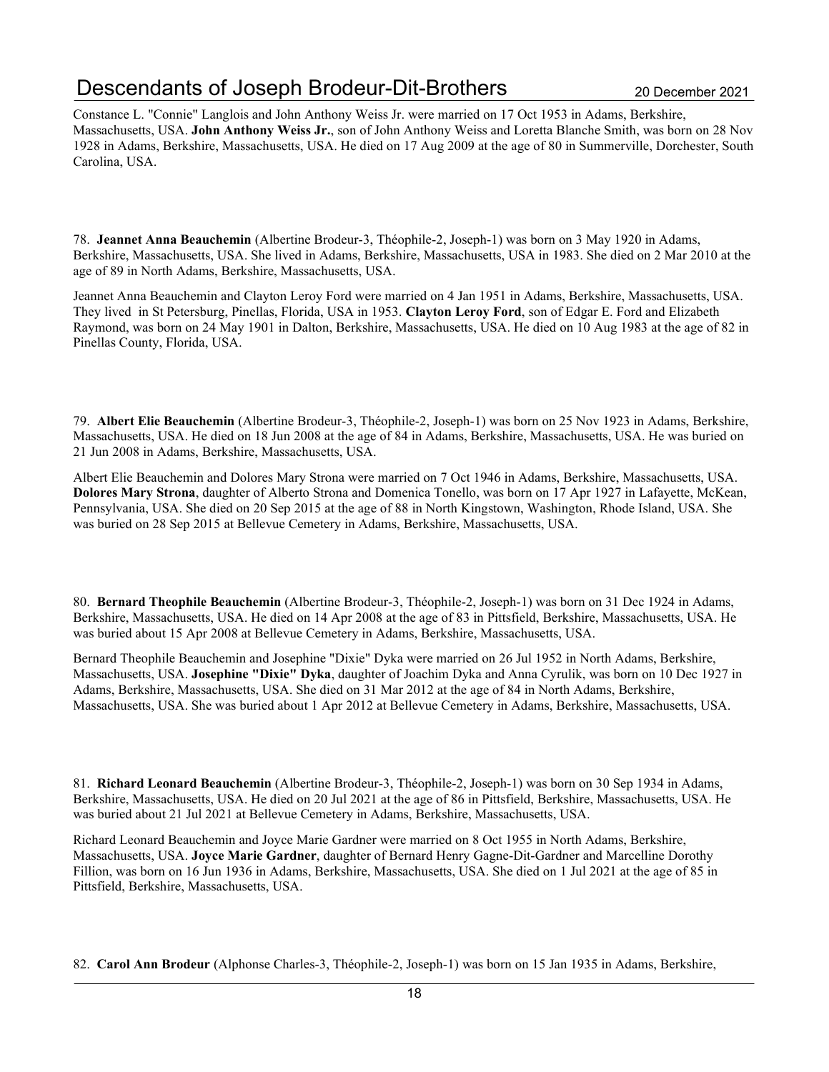# Descendants of Joseph Brodeur-Dit-Brothers 2020 20 December 2021

Constance L. "Connie" Langlois and John Anthony Weiss Jr. were married on 17 Oct 1953 in Adams, Berkshire, Massachusetts, USA. John Anthony Weiss Jr., son of John Anthony Weiss and Loretta Blanche Smith, was born on 28 Nov 1928 in Adams, Berkshire, Massachusetts, USA. He died on 17 Aug 2009 at the age of 80 in Summerville, Dorchester, South Carolina, USA.

78. Jeannet Anna Beauchemin (Albertine Brodeur-3, Théophile-2, Joseph-1) was born on 3 May 1920 in Adams, Berkshire, Massachusetts, USA. She lived in Adams, Berkshire, Massachusetts, USA in 1983. She died on 2 Mar 2010 at the age of 89 in North Adams, Berkshire, Massachusetts, USA.

Jeannet Anna Beauchemin and Clayton Leroy Ford were married on 4 Jan 1951 in Adams, Berkshire, Massachusetts, USA. They lived in St Petersburg, Pinellas, Florida, USA in 1953. Clayton Leroy Ford, son of Edgar E. Ford and Elizabeth Raymond, was born on 24 May 1901 in Dalton, Berkshire, Massachusetts, USA. He died on 10 Aug 1983 at the age of 82 in Pinellas County, Florida, USA.

79. Albert Elie Beauchemin (Albertine Brodeur-3, Théophile-2, Joseph-1) was born on 25 Nov 1923 in Adams, Berkshire, Massachusetts, USA. He died on 18 Jun 2008 at the age of 84 in Adams, Berkshire, Massachusetts, USA. He was buried on 21 Jun 2008 in Adams, Berkshire, Massachusetts, USA.

Albert Elie Beauchemin and Dolores Mary Strona were married on 7 Oct 1946 in Adams, Berkshire, Massachusetts, USA. Dolores Mary Strona, daughter of Alberto Strona and Domenica Tonello, was born on 17 Apr 1927 in Lafayette, McKean, Pennsylvania, USA. She died on 20 Sep 2015 at the age of 88 in North Kingstown, Washington, Rhode Island, USA. She was buried on 28 Sep 2015 at Bellevue Cemetery in Adams, Berkshire, Massachusetts, USA.

80. Bernard Theophile Beauchemin (Albertine Brodeur-3, Théophile-2, Joseph-1) was born on 31 Dec 1924 in Adams, Berkshire, Massachusetts, USA. He died on 14 Apr 2008 at the age of 83 in Pittsfield, Berkshire, Massachusetts, USA. He was buried about 15 Apr 2008 at Bellevue Cemetery in Adams, Berkshire, Massachusetts, USA.

Bernard Theophile Beauchemin and Josephine "Dixie" Dyka were married on 26 Jul 1952 in North Adams, Berkshire, Massachusetts, USA. Josephine "Dixie" Dyka, daughter of Joachim Dyka and Anna Cyrulik, was born on 10 Dec 1927 in Adams, Berkshire, Massachusetts, USA. She died on 31 Mar 2012 at the age of 84 in North Adams, Berkshire, Massachusetts, USA. She was buried about 1 Apr 2012 at Bellevue Cemetery in Adams, Berkshire, Massachusetts, USA.

81. Richard Leonard Beauchemin (Albertine Brodeur-3, Théophile-2, Joseph-1) was born on 30 Sep 1934 in Adams, Berkshire, Massachusetts, USA. He died on 20 Jul 2021 at the age of 86 in Pittsfield, Berkshire, Massachusetts, USA. He was buried about 21 Jul 2021 at Bellevue Cemetery in Adams, Berkshire, Massachusetts, USA.

Richard Leonard Beauchemin and Joyce Marie Gardner were married on 8 Oct 1955 in North Adams, Berkshire, Massachusetts, USA. Joyce Marie Gardner, daughter of Bernard Henry Gagne-Dit-Gardner and Marcelline Dorothy Fillion, was born on 16 Jun 1936 in Adams, Berkshire, Massachusetts, USA. She died on 1 Jul 2021 at the age of 85 in Pittsfield, Berkshire, Massachusetts, USA.

82. Carol Ann Brodeur (Alphonse Charles-3, Théophile-2, Joseph-1) was born on 15 Jan 1935 in Adams, Berkshire,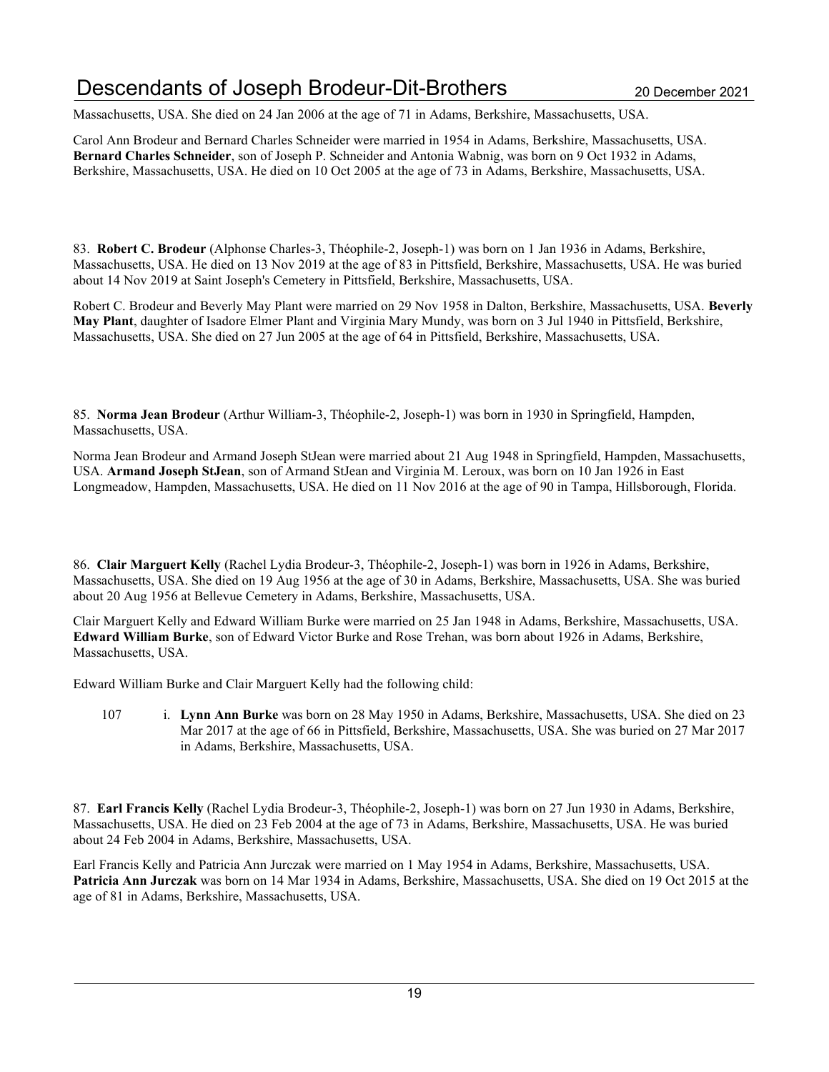# Descendants of Joseph Brodeur-Dit-Brothers 20 December 2021

Massachusetts, USA. She died on 24 Jan 2006 at the age of 71 in Adams, Berkshire, Massachusetts, USA.

Carol Ann Brodeur and Bernard Charles Schneider were married in 1954 in Adams, Berkshire, Massachusetts, USA. Bernard Charles Schneider, son of Joseph P. Schneider and Antonia Wabnig, was born on 9 Oct 1932 in Adams, Berkshire, Massachusetts, USA. He died on 10 Oct 2005 at the age of 73 in Adams, Berkshire, Massachusetts, USA.

83. Robert C. Brodeur (Alphonse Charles-3, Théophile-2, Joseph-1) was born on 1 Jan 1936 in Adams, Berkshire, Massachusetts, USA. He died on 13 Nov 2019 at the age of 83 in Pittsfield, Berkshire, Massachusetts, USA. He was buried about 14 Nov 2019 at Saint Joseph's Cemetery in Pittsfield, Berkshire, Massachusetts, USA.

Robert C. Brodeur and Beverly May Plant were married on 29 Nov 1958 in Dalton, Berkshire, Massachusetts, USA. Beverly May Plant, daughter of Isadore Elmer Plant and Virginia Mary Mundy, was born on 3 Jul 1940 in Pittsfield, Berkshire, Massachusetts, USA. She died on 27 Jun 2005 at the age of 64 in Pittsfield, Berkshire, Massachusetts, USA.

85. Norma Jean Brodeur (Arthur William-3, Théophile-2, Joseph-1) was born in 1930 in Springfield, Hampden, Massachusetts, USA.

Norma Jean Brodeur and Armand Joseph StJean were married about 21 Aug 1948 in Springfield, Hampden, Massachusetts, USA. Armand Joseph StJean, son of Armand StJean and Virginia M. Leroux, was born on 10 Jan 1926 in East Longmeadow, Hampden, Massachusetts, USA. He died on 11 Nov 2016 at the age of 90 in Tampa, Hillsborough, Florida.

86. Clair Marguert Kelly (Rachel Lydia Brodeur-3, Théophile-2, Joseph-1) was born in 1926 in Adams, Berkshire, Massachusetts, USA. She died on 19 Aug 1956 at the age of 30 in Adams, Berkshire, Massachusetts, USA. She was buried about 20 Aug 1956 at Bellevue Cemetery in Adams, Berkshire, Massachusetts, USA.

Clair Marguert Kelly and Edward William Burke were married on 25 Jan 1948 in Adams, Berkshire, Massachusetts, USA. Edward William Burke, son of Edward Victor Burke and Rose Trehan, was born about 1926 in Adams, Berkshire, Massachusetts, USA.

Edward William Burke and Clair Marguert Kelly had the following child:

107 i. Lynn Ann Burke was born on 28 May 1950 in Adams, Berkshire, Massachusetts, USA. She died on 23 Mar 2017 at the age of 66 in Pittsfield, Berkshire, Massachusetts, USA. She was buried on 27 Mar 2017 in Adams, Berkshire, Massachusetts, USA.

87. Earl Francis Kelly (Rachel Lydia Brodeur-3, Théophile-2, Joseph-1) was born on 27 Jun 1930 in Adams, Berkshire, Massachusetts, USA. He died on 23 Feb 2004 at the age of 73 in Adams, Berkshire, Massachusetts, USA. He was buried about 24 Feb 2004 in Adams, Berkshire, Massachusetts, USA.

Earl Francis Kelly and Patricia Ann Jurczak were married on 1 May 1954 in Adams, Berkshire, Massachusetts, USA. Patricia Ann Jurczak was born on 14 Mar 1934 in Adams, Berkshire, Massachusetts, USA. She died on 19 Oct 2015 at the age of 81 in Adams, Berkshire, Massachusetts, USA.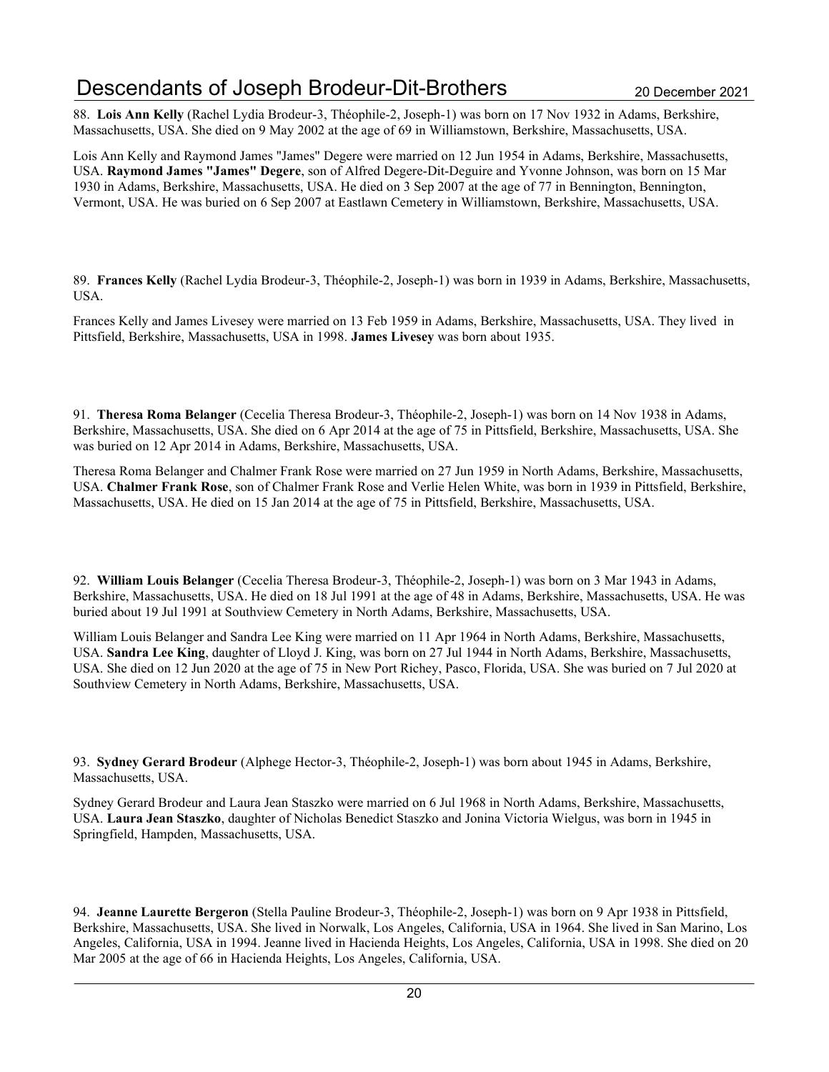# Descendants of Joseph Brodeur-Dit-Brothers 2020 20 December 2021

88. Lois Ann Kelly (Rachel Lydia Brodeur-3, Théophile-2, Joseph-1) was born on 17 Nov 1932 in Adams, Berkshire, Massachusetts, USA. She died on 9 May 2002 at the age of 69 in Williamstown, Berkshire, Massachusetts, USA.

Lois Ann Kelly and Raymond James "James" Degere were married on 12 Jun 1954 in Adams, Berkshire, Massachusetts, USA. Raymond James "James" Degere, son of Alfred Degere-Dit-Deguire and Yvonne Johnson, was born on 15 Mar 1930 in Adams, Berkshire, Massachusetts, USA. He died on 3 Sep 2007 at the age of 77 in Bennington, Bennington, Vermont, USA. He was buried on 6 Sep 2007 at Eastlawn Cemetery in Williamstown, Berkshire, Massachusetts, USA.

89. Frances Kelly (Rachel Lydia Brodeur-3, Théophile-2, Joseph-1) was born in 1939 in Adams, Berkshire, Massachusetts, USA.

Frances Kelly and James Livesey were married on 13 Feb 1959 in Adams, Berkshire, Massachusetts, USA. They lived in Pittsfield, Berkshire, Massachusetts, USA in 1998. James Livesey was born about 1935.

91. Theresa Roma Belanger (Cecelia Theresa Brodeur-3, Théophile-2, Joseph-1) was born on 14 Nov 1938 in Adams, Berkshire, Massachusetts, USA. She died on 6 Apr 2014 at the age of 75 in Pittsfield, Berkshire, Massachusetts, USA. She was buried on 12 Apr 2014 in Adams, Berkshire, Massachusetts, USA.

Theresa Roma Belanger and Chalmer Frank Rose were married on 27 Jun 1959 in North Adams, Berkshire, Massachusetts, USA. Chalmer Frank Rose, son of Chalmer Frank Rose and Verlie Helen White, was born in 1939 in Pittsfield, Berkshire, Massachusetts, USA. He died on 15 Jan 2014 at the age of 75 in Pittsfield, Berkshire, Massachusetts, USA.

92. William Louis Belanger (Cecelia Theresa Brodeur-3, Théophile-2, Joseph-1) was born on 3 Mar 1943 in Adams, Berkshire, Massachusetts, USA. He died on 18 Jul 1991 at the age of 48 in Adams, Berkshire, Massachusetts, USA. He was buried about 19 Jul 1991 at Southview Cemetery in North Adams, Berkshire, Massachusetts, USA.

William Louis Belanger and Sandra Lee King were married on 11 Apr 1964 in North Adams, Berkshire, Massachusetts, USA. Sandra Lee King, daughter of Lloyd J. King, was born on 27 Jul 1944 in North Adams, Berkshire, Massachusetts, USA. She died on 12 Jun 2020 at the age of 75 in New Port Richey, Pasco, Florida, USA. She was buried on 7 Jul 2020 at Southview Cemetery in North Adams, Berkshire, Massachusetts, USA.

93. Sydney Gerard Brodeur (Alphege Hector-3, Théophile-2, Joseph-1) was born about 1945 in Adams, Berkshire, Massachusetts, USA.

Sydney Gerard Brodeur and Laura Jean Staszko were married on 6 Jul 1968 in North Adams, Berkshire, Massachusetts, USA. Laura Jean Staszko, daughter of Nicholas Benedict Staszko and Jonina Victoria Wielgus, was born in 1945 in Springfield, Hampden, Massachusetts, USA.

94. Jeanne Laurette Bergeron (Stella Pauline Brodeur-3, Théophile-2, Joseph-1) was born on 9 Apr 1938 in Pittsfield, Berkshire, Massachusetts, USA. She lived in Norwalk, Los Angeles, California, USA in 1964. She lived in San Marino, Los Angeles, California, USA in 1994. Jeanne lived in Hacienda Heights, Los Angeles, California, USA in 1998. She died on 20 Mar 2005 at the age of 66 in Hacienda Heights, Los Angeles, California, USA.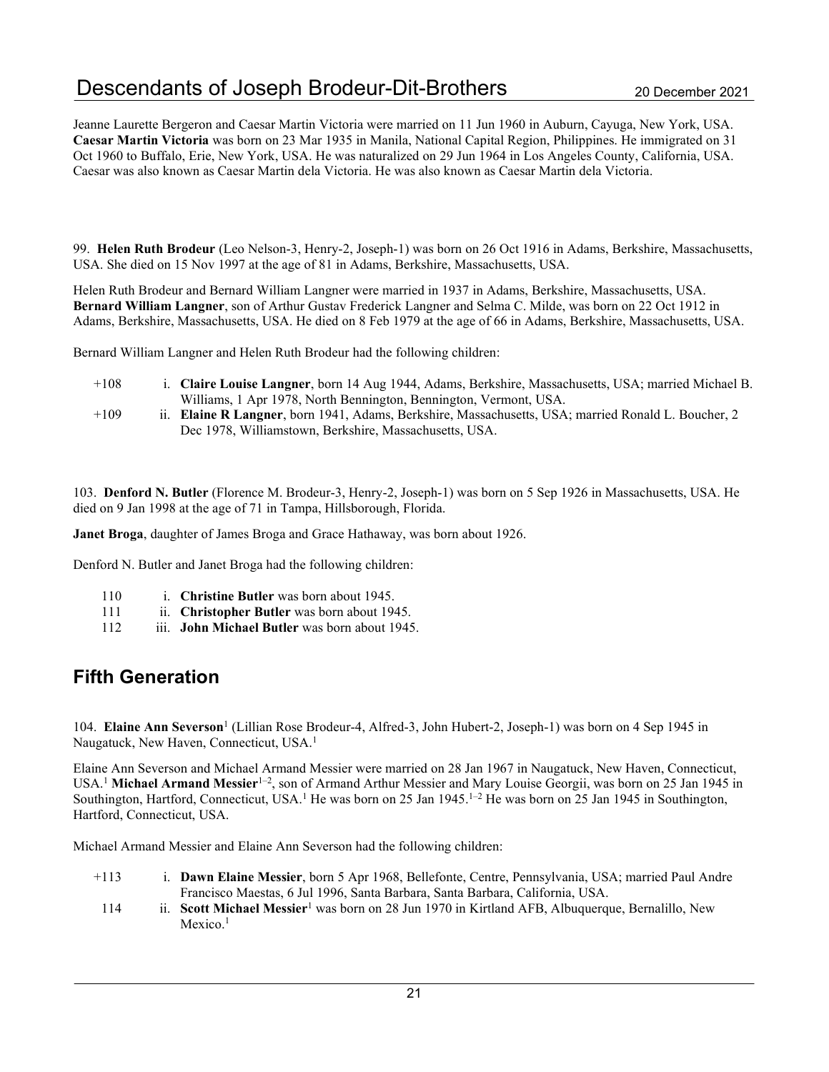Jeanne Laurette Bergeron and Caesar Martin Victoria were married on 11 Jun 1960 in Auburn, Cayuga, New York, USA. Caesar Martin Victoria was born on 23 Mar 1935 in Manila, National Capital Region, Philippines. He immigrated on 31 Oct 1960 to Buffalo, Erie, New York, USA. He was naturalized on 29 Jun 1964 in Los Angeles County, California, USA. Caesar was also known as Caesar Martin dela Victoria. He was also known as Caesar Martin dela Victoria.

99. Helen Ruth Brodeur (Leo Nelson-3, Henry-2, Joseph-1) was born on 26 Oct 1916 in Adams, Berkshire, Massachusetts, USA. She died on 15 Nov 1997 at the age of 81 in Adams, Berkshire, Massachusetts, USA.

Helen Ruth Brodeur and Bernard William Langner were married in 1937 in Adams, Berkshire, Massachusetts, USA. Bernard William Langner, son of Arthur Gustav Frederick Langner and Selma C. Milde, was born on 22 Oct 1912 in Adams, Berkshire, Massachusetts, USA. He died on 8 Feb 1979 at the age of 66 in Adams, Berkshire, Massachusetts, USA.

Bernard William Langner and Helen Ruth Brodeur had the following children:

- +108 i. Claire Louise Langner, born 14 Aug 1944, Adams, Berkshire, Massachusetts, USA; married Michael B. Williams, 1 Apr 1978, North Bennington, Bennington, Vermont, USA.
- +109 ii. Elaine R Langner, born 1941, Adams, Berkshire, Massachusetts, USA; married Ronald L. Boucher, 2 Dec 1978, Williamstown, Berkshire, Massachusetts, USA.

103. Denford N. Butler (Florence M. Brodeur-3, Henry-2, Joseph-1) was born on 5 Sep 1926 in Massachusetts, USA. He died on 9 Jan 1998 at the age of 71 in Tampa, Hillsborough, Florida.

Janet Broga, daughter of James Broga and Grace Hathaway, was born about 1926.

Denford N. Butler and Janet Broga had the following children:

- 110 i. Christine Butler was born about 1945.
- 111 ii. Christopher Butler was born about 1945.
- 112 iii. John Michael Butler was born about 1945.

### Fifth Generation

104. Elaine Ann Severson<sup>1</sup> (Lillian Rose Brodeur-4, Alfred-3, John Hubert-2, Joseph-1) was born on 4 Sep 1945 in Naugatuck, New Haven, Connecticut, USA.<sup>1</sup>

Elaine Ann Severson and Michael Armand Messier were married on 28 Jan 1967 in Naugatuck, New Haven, Connecticut, USA.<sup>1</sup> Michael Armand Messier<sup>1–2</sup>, son of Armand Arthur Messier and Mary Louise Georgii, was born on 25 Jan 1945 in Southington, Hartford, Connecticut, USA.<sup>1</sup> He was born on 25 Jan 1945.<sup>1-2</sup> He was born on 25 Jan 1945 in Southington, Hartford, Connecticut, USA.

Michael Armand Messier and Elaine Ann Severson had the following children:

- +113 i. Dawn Elaine Messier, born 5 Apr 1968, Bellefonte, Centre, Pennsylvania, USA; married Paul Andre Francisco Maestas, 6 Jul 1996, Santa Barbara, Santa Barbara, California, USA.
- 114 ii. Scott Michael Messier<sup>1</sup> was born on 28 Jun 1970 in Kirtland AFB, Albuquerque, Bernalillo, New Mexico.<sup>1</sup>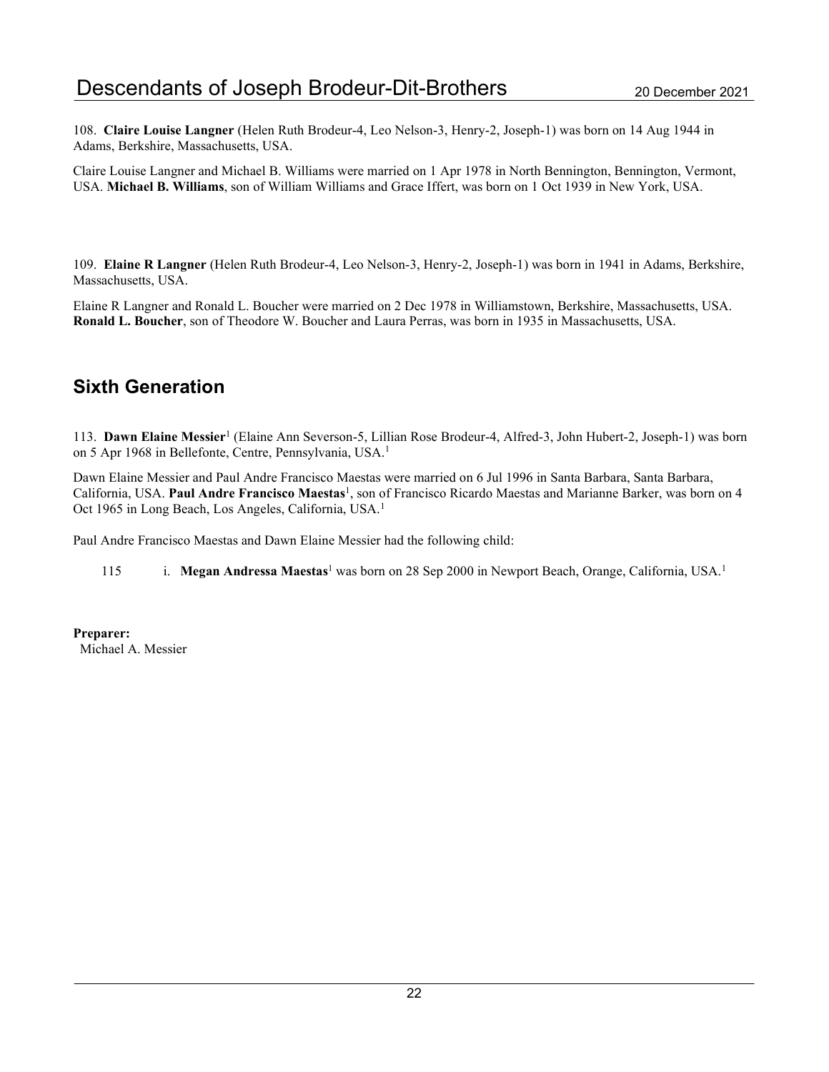108. Claire Louise Langner (Helen Ruth Brodeur-4, Leo Nelson-3, Henry-2, Joseph-1) was born on 14 Aug 1944 in Adams, Berkshire, Massachusetts, USA.

Claire Louise Langner and Michael B. Williams were married on 1 Apr 1978 in North Bennington, Bennington, Vermont, USA. Michael B. Williams, son of William Williams and Grace Iffert, was born on 1 Oct 1939 in New York, USA.

109. Elaine R Langner (Helen Ruth Brodeur-4, Leo Nelson-3, Henry-2, Joseph-1) was born in 1941 in Adams, Berkshire, Massachusetts, USA.

Elaine R Langner and Ronald L. Boucher were married on 2 Dec 1978 in Williamstown, Berkshire, Massachusetts, USA. Ronald L. Boucher, son of Theodore W. Boucher and Laura Perras, was born in 1935 in Massachusetts, USA.

### Sixth Generation

113. Dawn Elaine Messier<sup>1</sup> (Elaine Ann Severson-5, Lillian Rose Brodeur-4, Alfred-3, John Hubert-2, Joseph-1) was born on 5 Apr 1968 in Bellefonte, Centre, Pennsylvania, USA.<sup>1</sup>

Dawn Elaine Messier and Paul Andre Francisco Maestas were married on 6 Jul 1996 in Santa Barbara, Santa Barbara, California, USA. Paul Andre Francisco Maestas<sup>1</sup>, son of Francisco Ricardo Maestas and Marianne Barker, was born on 4 Oct 1965 in Long Beach, Los Angeles, California, USA.<sup>1</sup>

Paul Andre Francisco Maestas and Dawn Elaine Messier had the following child:

115 i. Megan Andressa Maestas<sup>1</sup> was born on 28 Sep 2000 in Newport Beach, Orange, California, USA.<sup>1</sup>

Preparer: Michael A. Messier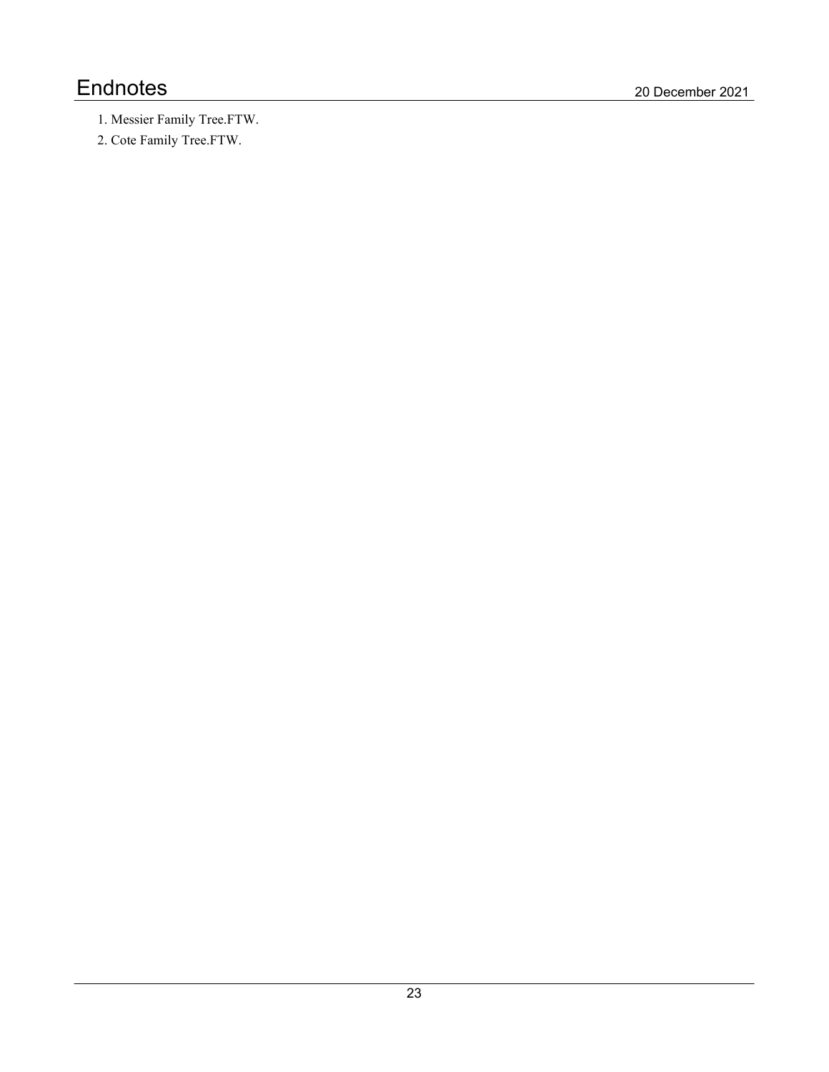# Endnotes 20 December 2021

- 1. Messier Family Tree.FTW.
- 2. Cote Family Tree.FTW.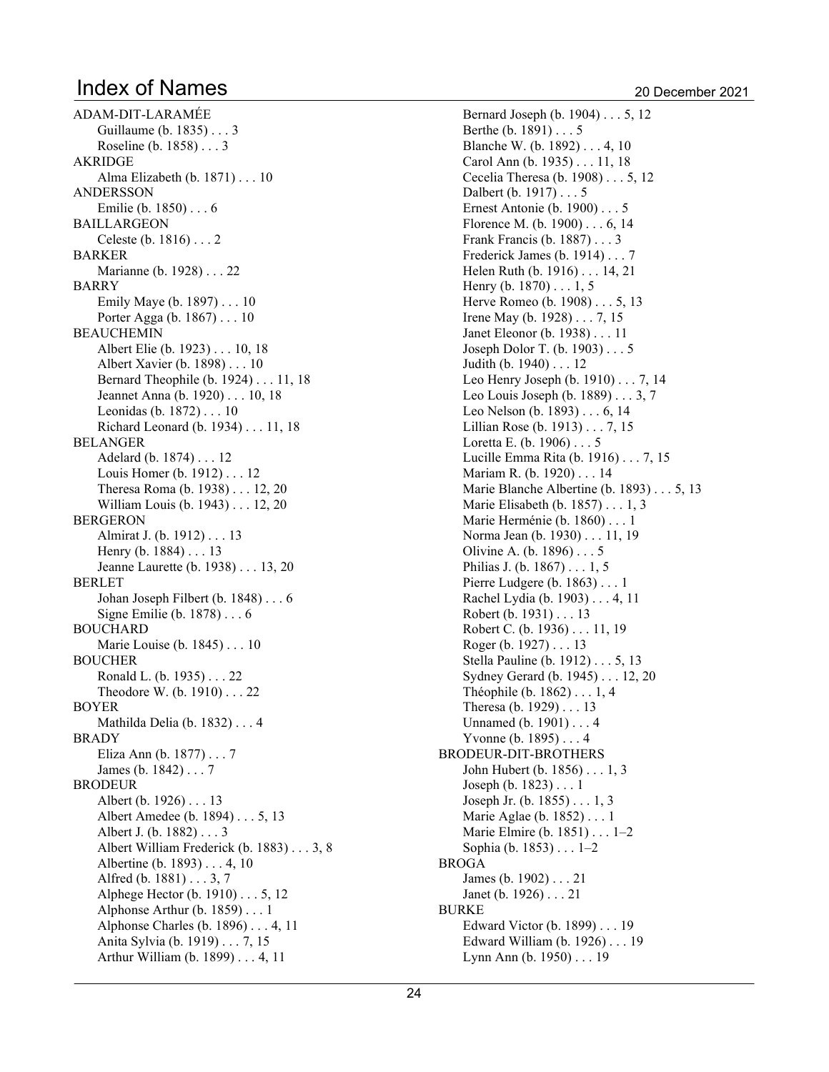ADAM-DIT-LARAMÉE Guillaume (b. 1835) . . . 3 Roseline (b. 1858) . . . 3 AKRIDGE Alma Elizabeth (b. 1871) . . . 10 ANDERSSON Emilie (b. 1850) . . . 6 BAILLARGEON Celeste (b. 1816) . . . 2 BARKER Marianne (b. 1928) . . . 22 BARRY Emily Maye (b. 1897) . . . 10 Porter Agga (b. 1867) . . . 10 BEAUCHEMIN Albert Elie (b. 1923) . . . 10, 18 Albert Xavier (b. 1898) . . . 10 Bernard Theophile (b. 1924) . . . 11, 18 Jeannet Anna (b. 1920) . . . 10, 18 Leonidas (b. 1872) . . . 10 Richard Leonard (b. 1934) . . . 11, 18 BELANGER Adelard (b. 1874) . . . 12 Louis Homer (b. 1912) . . . 12 Theresa Roma (b. 1938) . . . 12, 20 William Louis (b. 1943) . . . 12, 20 BERGERON Almirat J. (b. 1912) . . . 13 Henry (b. 1884) . . . 13 Jeanne Laurette (b. 1938) . . . 13, 20 BERLET Johan Joseph Filbert (b. 1848) . . . 6 Signe Emilie (b. 1878) . . . 6 BOUCHARD Marie Louise (b. 1845) . . . 10 BOUCHER Ronald L. (b. 1935) . . . 22 Theodore W. (b. 1910) . . . 22 BOYER Mathilda Delia (b. 1832) . . . 4 BRADY Eliza Ann (b. 1877) . . . 7 James (b. 1842) . . . 7 BRODEUR Albert (b. 1926) . . . 13 Albert Amedee (b. 1894) . . . 5, 13 Albert J. (b. 1882) . . . 3 Albert William Frederick (b. 1883) . . . 3, 8 Albertine (b. 1893)  $\dots$  4, 10 Alfred (b.  $1881$ )  $\ldots$  3, 7 Alphege Hector (b. 1910)  $\ldots$  5, 12 Alphonse Arthur (b. 1859) . . . 1 Alphonse Charles (b. 1896) . . . 4, 11 Anita Sylvia (b. 1919) . . . 7, 15 Arthur William (b. 1899) . . . 4, 11

Bernard Joseph (b. 1904) . . . 5, 12 Berthe (b. 1891) . . . 5 Blanche W. (b.  $1892$ )... 4, 10 Carol Ann (b. 1935) . . . 11, 18 Cecelia Theresa (b. 1908) . . . 5, 12 Dalbert (b. 1917) . . . 5 Ernest Antonie (b. 1900) . . . 5 Florence M.  $(b. 1900) \ldots 6, 14$ Frank Francis (b. 1887) . . . 3 Frederick James (b. 1914) . . . 7 Helen Ruth (b. 1916) . . . 14, 21 Henry (b.  $1870$ )  $\dots$  1, 5 Herve Romeo (b.  $1908$ )... 5, 13 Irene May (b. 1928)  $\dots$  7, 15 Janet Eleonor (b. 1938) . . . 11 Joseph Dolor T. (b. 1903) . . . 5 Judith (b. 1940) . . . 12 Leo Henry Joseph (b. 1910) . . . 7, 14 Leo Louis Joseph (b.  $1889$ )  $\ldots$  3, 7 Leo Nelson (b. 1893)  $\dots$  6, 14 Lillian Rose (b. 1913)  $\dots$  7, 15 Loretta E. (b. 1906) . . . 5 Lucille Emma Rita (b. 1916) . . . 7, 15 Mariam R. (b. 1920) . . . 14 Marie Blanche Albertine (b. 1893)  $\dots$  5, 13 Marie Elisabeth (b. 1857) . . . 1, 3 Marie Herménie (b. 1860) . . . 1 Norma Jean (b. 1930) . . . 11, 19 Olivine A. (b. 1896) . . . 5 Philias J. (b.  $1867$ )  $\dots$  1, 5 Pierre Ludgere (b. 1863) . . . 1 Rachel Lydia (b. 1903) . . . 4, 11 Robert (b. 1931) . . . 13 Robert C. (b. 1936) . . . 11, 19 Roger (b. 1927) . . . 13 Stella Pauline (b. 1912) . . . 5, 13 Sydney Gerard (b. 1945) . . . 12, 20 Théophile (b.  $1862$ )  $\dots$  1, 4 Theresa (b. 1929) . . . 13 Unnamed (b. 1901) . . . 4 Yvonne (b. 1895) . . . 4 BRODEUR-DIT-BROTHERS John Hubert (b. 1856) . . . 1, 3 Joseph (b. 1823) . . . 1 Joseph Jr. (b. 1855)  $\dots$  1, 3 Marie Aglae (b. 1852) . . . 1 Marie Elmire (b. 1851) . . . 1–2 Sophia (b. 1853) . . . 1-2 BROGA James (b. 1902) . . . 21 Janet (b. 1926) . . . 21 BURKE Edward Victor (b. 1899) . . . 19 Edward William (b. 1926) . . . 19 Lynn Ann (b. 1950) . . . 19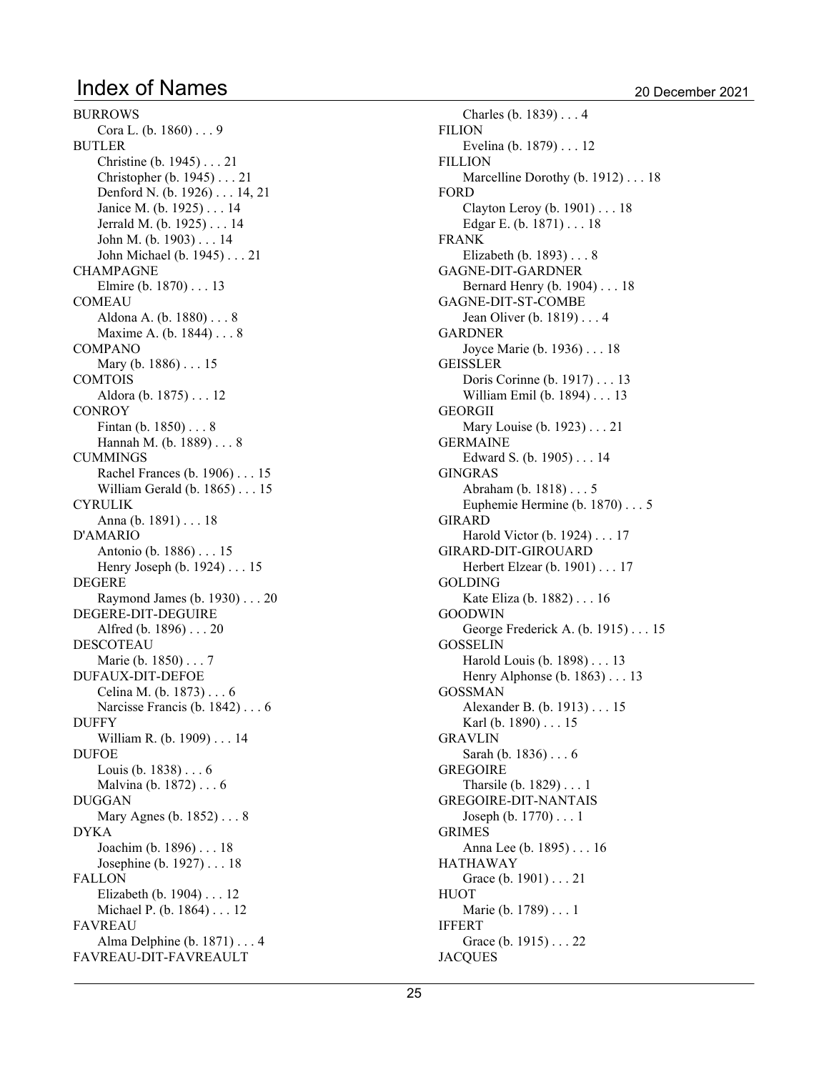BURROWS Cora L. (b. 1860) . . . 9 BUTLER Christine (b. 1945) . . . 21 Christopher (b. 1945) . . . 21 Denford N. (b. 1926) . . . 14, 21 Janice M. (b. 1925) . . . 14 Jerrald M. (b. 1925) . . . 14 John M. (b. 1903) . . . 14 John Michael (b. 1945) . . . 21 CHAMPAGNE Elmire (b. 1870) . . . 13 COMEAU Aldona A. (b. 1880) . . . 8 Maxime A. (b. 1844) . . . 8 COMPANO Mary (b. 1886) . . . 15 COMTOIS Aldora (b. 1875) . . . 12 **CONROY** Fintan (b. 1850) . . . 8 Hannah M. (b. 1889) . . . 8 CUMMINGS Rachel Frances (b. 1906) . . . 15 William Gerald (b. 1865) . . . 15 CYRULIK Anna (b. 1891) . . . 18 D'AMARIO Antonio (b. 1886) . . . 15 Henry Joseph (b. 1924) . . . 15 DEGERE Raymond James (b. 1930) . . . 20 DEGERE-DIT-DEGUIRE Alfred (b. 1896) . . . 20 DESCOTEAU Marie (b. 1850) . . . 7 DUFAUX-DIT-DEFOE Celina M. (b. 1873) . . . 6 Narcisse Francis (b. 1842) . . . 6 DUFFY William R. (b. 1909) . . . 14 DUFOE Louis (b. 1838) . . . 6 Malvina (b. 1872) . . . 6 DUGGAN Mary Agnes (b. 1852) . . . 8 DYKA Joachim (b. 1896) . . . 18 Josephine (b. 1927) . . . 18 FALLON Elizabeth (b. 1904) . . . 12 Michael P. (b. 1864) . . . 12 FAVREAU Alma Delphine (b. 1871) . . . 4 FAVREAU-DIT-FAVREAULT

Charles (b. 1839) . . . 4 FILION Evelina (b. 1879) . . . 12 FILLION Marcelline Dorothy (b. 1912) . . . 18 FORD Clayton Leroy (b. 1901) . . . 18 Edgar E. (b. 1871) . . . 18 FRANK Elizabeth (b. 1893) . . . 8 GAGNE-DIT-GARDNER Bernard Henry (b. 1904) . . . 18 GAGNE-DIT-ST-COMBE Jean Oliver (b. 1819) . . . 4 GARDNER Joyce Marie (b. 1936) . . . 18 GEISSLER Doris Corinne (b. 1917) . . . 13 William Emil (b. 1894) . . . 13 GEORGII Mary Louise (b. 1923) . . . 21 GERMAINE Edward S. (b. 1905) . . . 14 GINGRAS Abraham (b. 1818) . . . 5 Euphemie Hermine (b. 1870) . . . 5 GIRARD Harold Victor (b. 1924) . . . 17 GIRARD-DIT-GIROUARD Herbert Elzear (b. 1901) . . . 17 GOLDING Kate Eliza (b. 1882) . . . 16 GOODWIN George Frederick A. (b. 1915) . . . 15 GOSSELIN Harold Louis (b. 1898) . . . 13 Henry Alphonse (b. 1863) . . . 13 GOSSMAN Alexander B. (b. 1913) . . . 15 Karl (b. 1890) . . . 15 GRAVLIN Sarah (b. 1836) . . . 6 GREGOIRE Tharsile (b. 1829) . . . 1 GREGOIRE-DIT-NANTAIS Joseph (b. 1770) . . . 1 GRIMES Anna Lee (b. 1895) . . . 16 HATHAWAY Grace (b. 1901) . . . 21 HUOT Marie (b. 1789) . . . 1 IFFERT Grace (b. 1915) . . . 22

**JACQUES**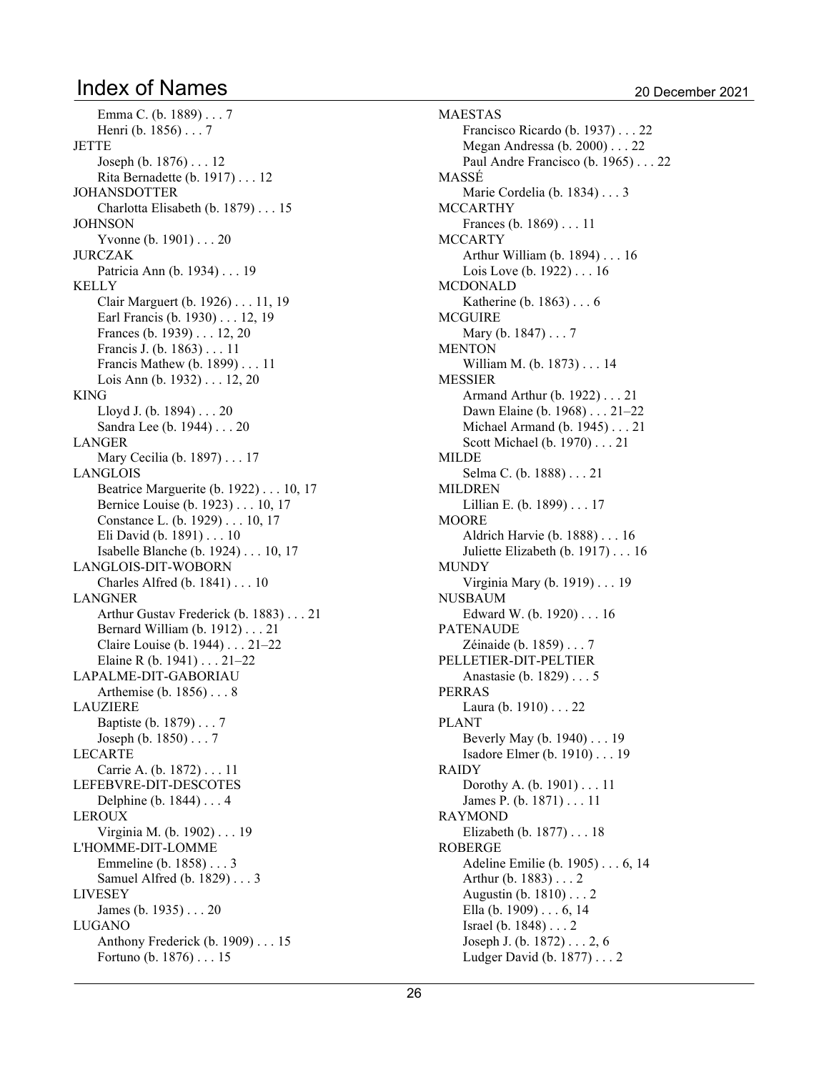Emma C. (b. 1889) . . . 7 Henri (b. 1856) . . . 7 **JETTE** Joseph (b. 1876) . . . 12 Rita Bernadette (b. 1917) . . . 12 JOHANSDOTTER Charlotta Elisabeth (b. 1879) . . . 15 **JOHNSON** Yvonne (b. 1901) . . . 20 JURCZAK Patricia Ann (b. 1934) . . . 19 KELLY Clair Marguert (b. 1926) . . . 11, 19 Earl Francis (b. 1930) . . . 12, 19 Frances (b. 1939)  $\dots$  12, 20 Francis J. (b. 1863) . . . 11 Francis Mathew (b. 1899) . . . 11 Lois Ann (b. 1932)  $\dots$  12, 20 KING Lloyd J. (b. 1894) . . . 20 Sandra Lee (b. 1944) . . . 20 LANGER Mary Cecilia (b. 1897) . . . 17 LANGLOIS Beatrice Marguerite (b. 1922) . . . 10, 17 Bernice Louise (b. 1923) . . . 10, 17 Constance L. (b. 1929) . . . 10, 17 Eli David (b. 1891) . . . 10 Isabelle Blanche (b. 1924) . . . 10, 17 LANGLOIS-DIT-WOBORN Charles Alfred (b. 1841) . . . 10 LANGNER Arthur Gustav Frederick (b. 1883) . . . 21 Bernard William (b. 1912) . . . 21 Claire Louise (b. 1944) . . . 21–22 Elaine R (b. 1941)  $\ldots$  21-22 LAPALME-DIT-GABORIAU Arthemise (b. 1856) . . . 8 LAUZIERE Baptiste (b. 1879) . . . 7 Joseph (b. 1850) . . . 7 LECARTE Carrie A. (b. 1872) . . . 11 LEFEBVRE-DIT-DESCOTES Delphine (b. 1844) . . . 4 LEROUX Virginia M. (b. 1902) . . . 19 L'HOMME-DIT-LOMME Emmeline (b. 1858) . . . 3 Samuel Alfred (b. 1829) . . . 3 LIVESEY James (b. 1935) . . . 20 LUGANO Anthony Frederick (b. 1909) . . . 15 Fortuno (b. 1876) . . . 15

MAESTAS Francisco Ricardo (b. 1937) . . . 22 Megan Andressa (b. 2000) . . . 22 Paul Andre Francisco (b. 1965) . . . 22 MASSÉ Marie Cordelia (b. 1834) . . . 3 MCCARTHY Frances (b. 1869) . . . 11 **MCCARTY** Arthur William (b. 1894) . . . 16 Lois Love (b. 1922) . . . 16 MCDONALD Katherine (b. 1863) . . . 6 MCGUIRE Mary (b. 1847) . . . 7 MENTON William M. (b. 1873) . . . 14 MESSIER Armand Arthur (b. 1922) . . . 21 Dawn Elaine (b. 1968) . . . 21-22 Michael Armand (b. 1945) . . . 21 Scott Michael (b. 1970) . . . 21 MILDE Selma C. (b. 1888) . . . 21 MILDREN Lillian E. (b. 1899) . . . 17 MOORE Aldrich Harvie (b. 1888) . . . 16 Juliette Elizabeth (b. 1917) . . . 16 MUNDY Virginia Mary (b. 1919) . . . 19 NUSBAUM Edward W. (b. 1920) . . . 16 PATENAUDE Zéinaide (b. 1859) . . . 7 PELLETIER-DIT-PELTIER Anastasie (b. 1829) . . . 5 PERRAS Laura (b. 1910) . . . 22 PLANT Beverly May (b. 1940) . . . 19 Isadore Elmer (b. 1910) . . . 19 RAIDY Dorothy A. (b. 1901) . . . 11 James P. (b. 1871) . . . 11 RAYMOND Elizabeth (b. 1877) . . . 18 ROBERGE Adeline Emilie (b. 1905) . . . 6, 14 Arthur (b. 1883) . . . 2 Augustin (b. 1810) . . . 2 Ella (b. 1909)  $\dots$  6, 14 Israel (b. 1848) . . . 2 Joseph J. (b. 1872)  $\dots$  2, 6 Ludger David (b. 1877) . . . 2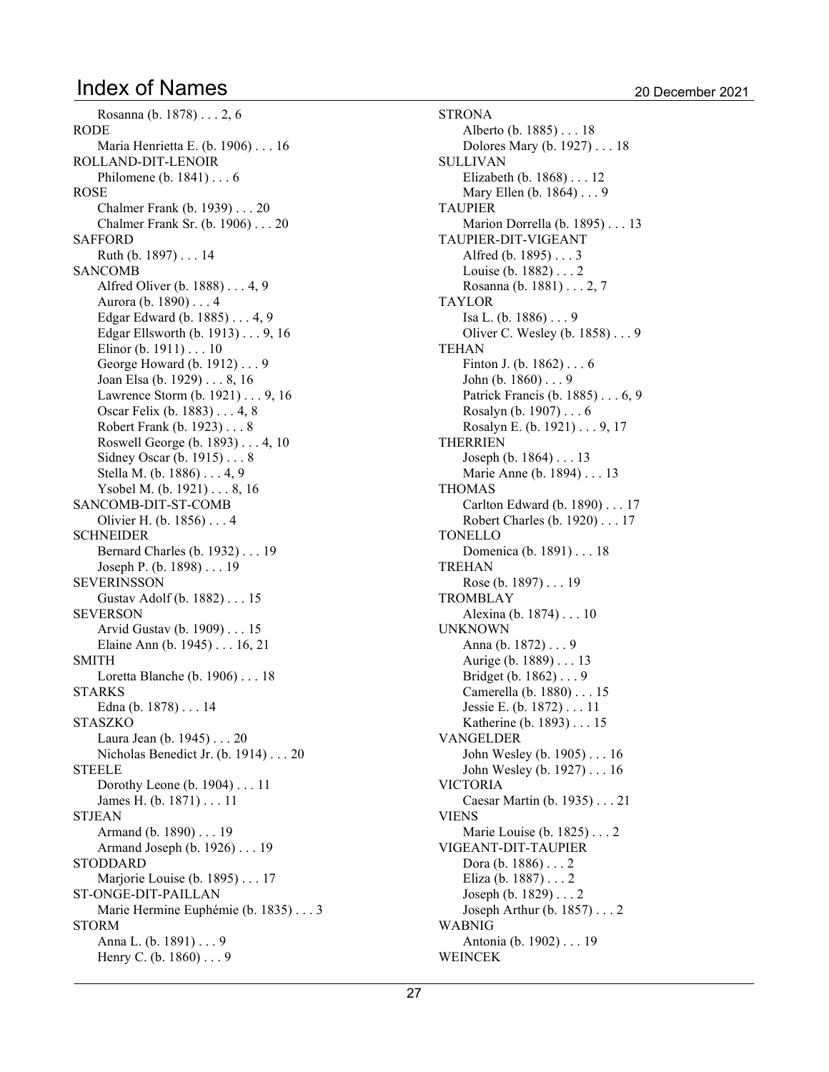Rosanna (b. 1878) . . . 2, 6

```
TEHAN
```
RODE Maria Henrietta E. (b. 1906) . . . 16 ROLLAND-DIT-LENOIR Philomene (b. 1841) . . . 6 ROSE Chalmer Frank (b. 1939) . . . 20 Chalmer Frank Sr. (b. 1906) . . . 20 SAFFORD Ruth (b. 1897) . . . 14 SANCOMB Alfred Oliver (b.  $1888$ )... 4, 9 Aurora (b. 1890) . . . 4 Edgar Edward (b.  $1885$ )... 4, 9 Edgar Ellsworth (b. 1913)  $\ldots$  9, 16 Elinor (b. 1911) . . . 10 George Howard (b. 1912) . . . 9 Joan Elsa (b. 1929) . . . 8, 16 Lawrence Storm  $(b. 1921) \ldots 9$ , 16 Oscar Felix (b. 1883) . . . 4, 8 Robert Frank (b. 1923) . . . 8 Roswell George (b.  $1893$ )... 4, 10 Sidney Oscar (b. 1915) . . . 8 Stella M. (b. 1886)  $\dots$  4, 9 Ysobel M. (b. 1921)  $\dots$  8, 16 SANCOMB-DIT-ST-COMB Olivier H. (b. 1856) . . . 4 SCHNEIDER Bernard Charles (b. 1932) . . . 19 Joseph P. (b. 1898) . . . 19 SEVERINSSON Gustav Adolf (b. 1882) . . . 15 SEVERSON Arvid Gustav (b. 1909) . . . 15 Elaine Ann (b. 1945)  $\dots$  16, 21 SMITH Loretta Blanche (b. 1906) . . . 18 STARKS Edna (b. 1878) . . . 14 STASZKO Laura Jean (b. 1945) . . . 20 Nicholas Benedict Jr. (b. 1914) . . . 20 STEELE Dorothy Leone (b. 1904) . . . 11 James H. (b. 1871) . . . 11 STJEAN Armand (b. 1890) . . . 19 Armand Joseph (b. 1926) . . . 19 STODDARD Marjorie Louise (b. 1895) . . . 17 ST-ONGE-DIT-PAILLAN Marie Hermine Euphémie (b. 1835) . . . 3 STORM Anna L. (b. 1891) . . . 9 Henry C. (b. 1860) . . . 9

**STRONA** Alberto (b. 1885) . . . 18 Dolores Mary (b. 1927) . . . 18 SULLIVAN Elizabeth (b. 1868) . . . 12 Mary Ellen (b. 1864) . . . 9 TAUPIER Marion Dorrella (b. 1895) . . . 13 TAUPIER-DIT-VIGEANT Alfred (b. 1895) . . . 3 Louise (b. 1882) . . . 2 Rosanna (b. 1881)  $\dots$  2, 7 TAYLOR Isa L. (b. 1886) . . . 9 Oliver C. Wesley (b. 1858) . . . 9 Finton J. (b. 1862) . . . 6 John (b. 1860) . . . 9 Patrick Francis (b. 1885) . . . 6, 9 Rosalyn (b. 1907) . . . 6 Rosalyn E. (b. 1921)  $\dots$  9, 17 THERRIEN Joseph (b. 1864) . . . 13 Marie Anne (b. 1894) . . . 13 THOMAS Carlton Edward (b. 1890) . . . 17 Robert Charles (b. 1920) . . . 17 TONELLO Domenica (b. 1891) . . . 18 TREHAN Rose (b. 1897) . . . 19 TROMBLAY Alexina (b. 1874) . . . 10 UNKNOWN Anna (b. 1872) . . . 9 Aurige (b. 1889) . . . 13 Bridget (b. 1862) . . . 9 Camerella (b. 1880) . . . 15 Jessie E. (b. 1872) . . . 11 Katherine (b. 1893) . . . 15 VANGELDER John Wesley (b. 1905) . . . 16 John Wesley (b. 1927) . . . 16 VICTORIA Caesar Martin (b. 1935) . . . 21 VIENS Marie Louise (b. 1825) . . . 2 VIGEANT-DIT-TAUPIER Dora (b. 1886) . . . 2 Eliza (b. 1887) . . . 2 Joseph (b. 1829) . . . 2 Joseph Arthur (b. 1857) . . . 2 WABNIG Antonia (b. 1902) . . . 19 WEINCEK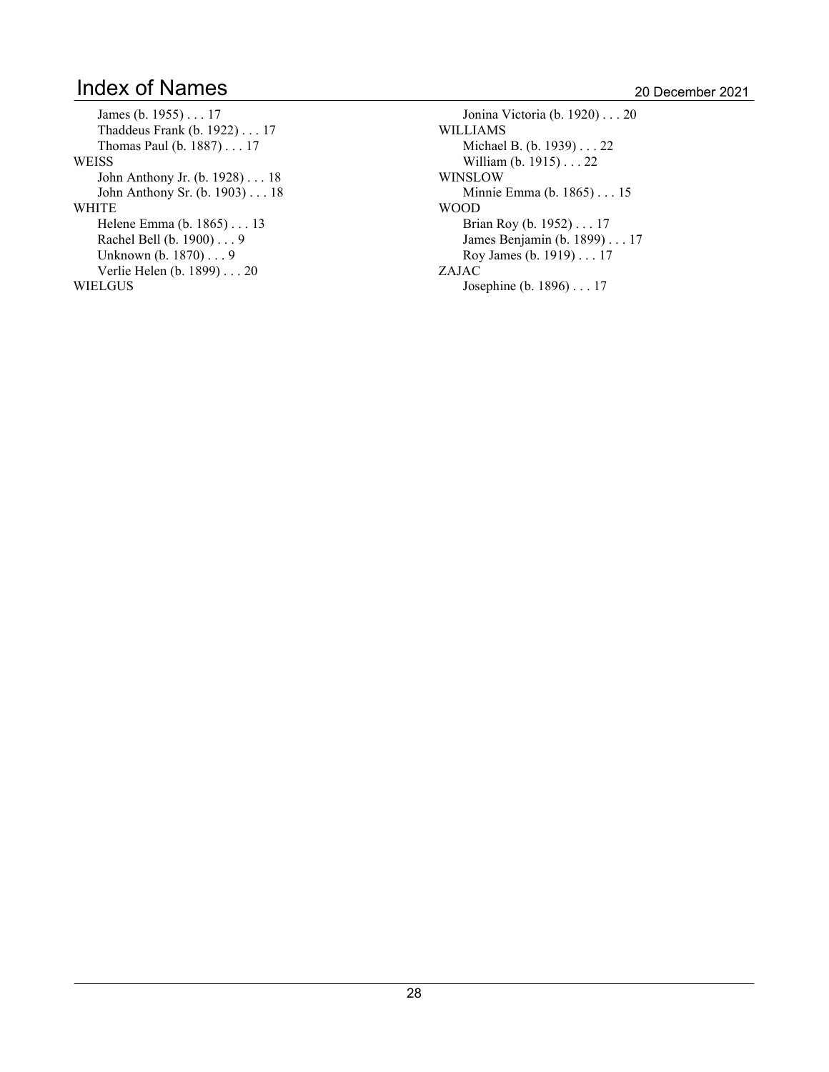James (b. 1955) . . . 17 Thaddeus Frank (b. 1922) . . . 17 Thomas Paul (b. 1887) . . . 17 WEISS John Anthony Jr. (b. 1928) . . . 18 John Anthony Sr. (b. 1903) . . . 18 WHITE Helene Emma (b. 1865) . . . 13 Rachel Bell (b. 1900) . . . 9 Unknown (b. 1870) . . . 9 Verlie Helen (b. 1899) . . . 20 WIELGUS

Jonina Victoria (b. 1920) . . . 20 WILLIAMS Michael B. (b. 1939) . . . 22 William (b. 1915) . . . 22 WINSLOW Minnie Emma (b. 1865) . . . 15 WOOD Brian Roy (b. 1952) . . . 17 James Benjamin (b. 1899) . . . 17 Roy James (b. 1919) . . . 17 ZAJAC Josephine (b. 1896) . . . 17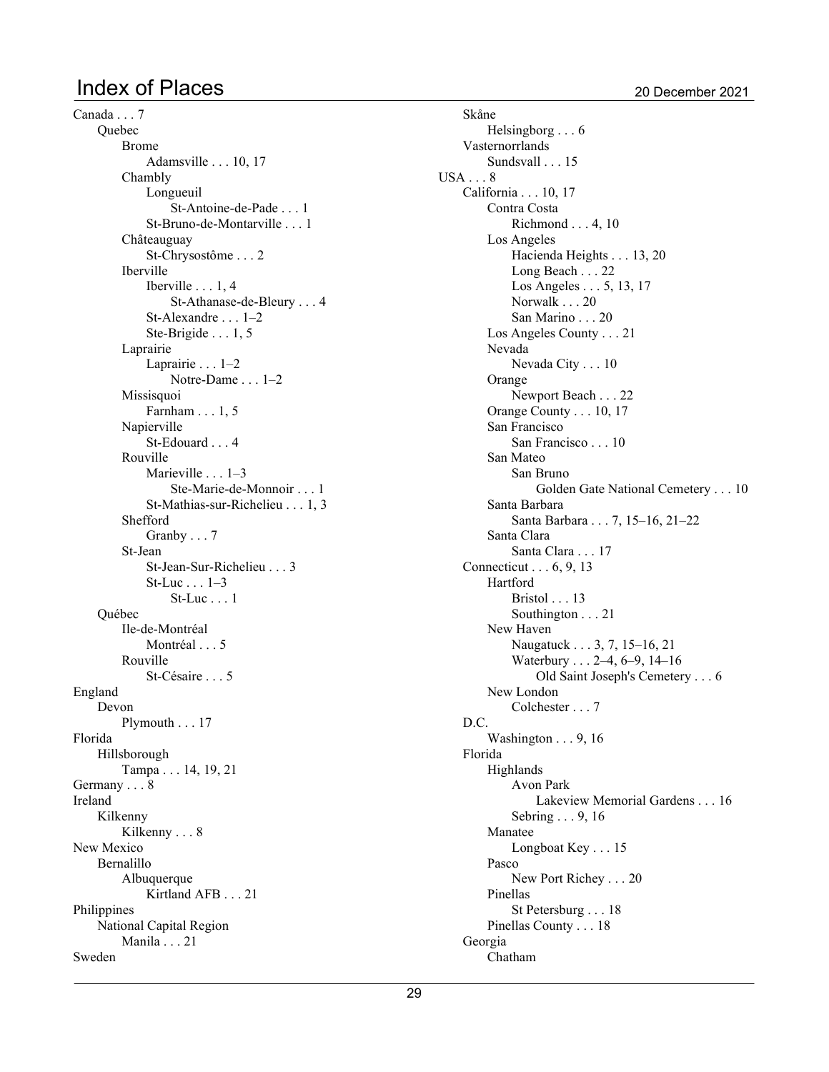## Index of Places 2021

Canada . . . 7 **Ouebec** Brome Adamsville  $\ldots$  10, 17 Chambly Longueuil St-Antoine-de-Pade . . . 1 St-Bruno-de-Montarville . . . 1 Châteauguay St-Chrysostôme . . . 2 Iberville Iberville  $\dots$  1, 4 St-Athanase-de-Bleury . . . 4 St-Alexandre . . . 1-2 Ste-Brigide  $\dots$  1, 5 Laprairie Laprairie  $\ldots$  1-2 Notre-Dame . . . 1-2 Missisquoi Farnham  $\dots$  1, 5 Napierville St-Edouard . . . 4 Rouville Marieville  $\ldots$  1-3 Ste-Marie-de-Monnoir . . . 1 St-Mathias-sur-Richelieu . . . 1.3 Shefford Granby . . . 7 St-Jean St-Jean-Sur-Richelieu . . . 3  $St-Luc \dots 1-3$ St-Luc . . . 1 Québec Ile-de-Montréal Montréal . . . 5 Rouville St-Césaire . . . 5 England Devon Plymouth . . . 17 Florida Hillsborough Tampa . . . 14, 19, 21 Germany . . . 8 Ireland Kilkenny Kilkenny . . . 8 New Mexico Bernalillo Albuquerque Kirtland AFB . . . 21 Philippines National Capital Region Manila . . . 21 Sweden

Skåne Helsingborg . . . 6 Vasternorrlands Sundsvall . . . 15 USA . . . 8 California . . . 10, 17 Contra Costa Richmond  $\ldots$  4, 10 Los Angeles Hacienda Heights . . . 13, 20 Long Beach . . . 22 Los Angeles  $\ldots$  5, 13, 17 Norwalk . . . 20 San Marino . . . 20 Los Angeles County . . . 21 Nevada Nevada City . . . 10 Orange Newport Beach . . . 22 Orange County  $\ldots$  10, 17 San Francisco San Francisco . . . 10 San Mateo San Bruno Golden Gate National Cemetery . . . 10 Santa Barbara Santa Barbara . . . 7, 15-16, 21-22 Santa Clara Santa Clara . . . 17 Connecticut  $\ldots$  6, 9, 13 Hartford Bristol . . . 13 Southington . . . 21 New Haven Naugatuck . . . 3, 7, 15–16, 21 Waterbury  $\ldots$  2–4, 6–9, 14–16 Old Saint Joseph's Cemetery . . . 6 New London Colchester . . . 7 D.C. Washington  $\ldots$  9, 16 Florida Highlands Avon Park Lakeview Memorial Gardens . . . 16 Sebring  $\ldots$  9, 16 Manatee Longboat Key . . . 15 Pasco New Port Richey . . . 20 Pinellas St Petersburg . . . 18 Pinellas County . . . 18 Georgia Chatham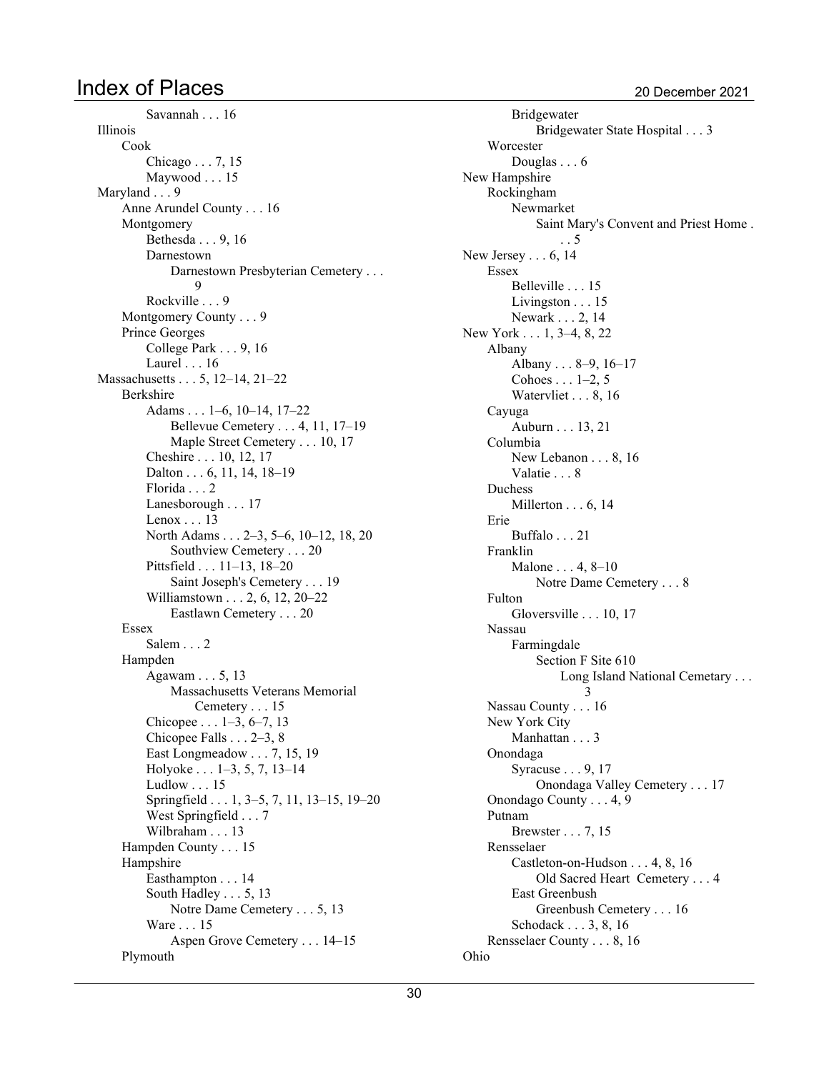### Index of Places 2021

Savannah . . . 16 Illinois Cook Chicago  $\ldots$  7, 15 Maywood . . . 15 Maryland . . . 9 Anne Arundel County . . . 16 Montgomery Bethesda . . . 9, 16 Darnestown Darnestown Presbyterian Cemetery . . .  $\mathbf Q$ Rockville . . . 9 Montgomery County . . . 9 Prince Georges College Park  $\ldots$  9, 16 Laurel . . . 16 Massachusetts . . . 5, 12-14, 21-22 Berkshire Adams  $\dots$  1-6, 10-14, 17-22 Bellevue Cemetery  $\dots$  4, 11, 17-19 Maple Street Cemetery . . . 10, 17 Cheshire . . . 10, 12, 17 Dalton  $\ldots$  6, 11, 14, 18-19 Florida . . . 2 Lanesborough . . . 17 Lenox . . . 13 North Adams . . . 2–3, 5–6, 10–12, 18, 20 Southview Cemetery . . . 20 Pittsfield  $\ldots$  11–13, 18–20 Saint Joseph's Cemetery . . . 19 Williamstown  $\ldots$  2, 6, 12, 20–22 Eastlawn Cemetery . . . 20 Essex Salem . . . 2 Hampden Agawam  $\ldots$  5, 13 Massachusetts Veterans Memorial Cemetery . . . 15 Chicopee  $\dots$  1-3, 6-7, 13 Chicopee Falls  $\ldots$  2-3, 8 East Longmeadow  $\ldots$  7, 15, 19 Holyoke  $\dots$  1–3, 5, 7, 13–14 Ludlow . . . 15 Springfield  $\dots$  1, 3-5, 7, 11, 13-15, 19-20 West Springfield . . . 7 Wilbraham . . . 13 Hampden County . . . 15 Hampshire Easthampton . . . 14 South Hadley  $\ldots$  5, 13 Notre Dame Cemetery . . . 5, 13 Ware . . . 15 Aspen Grove Cemetery . . . 14-15 Plymouth

Bridgewater Bridgewater State Hospital . . . 3 **Worcester** Douglas . . . 6 New Hampshire Rockingham Newmarket Saint Mary's Convent and Priest Home . . . 5 New Jersey  $\ldots$  6, 14 Essex Belleville . . . 15 Livingston . . . 15 Newark . . . 2, 14 New York . . . 1, 3–4, 8, 22 Albany Albany  $\ldots 8-9$ , 16-17 Cohoes  $\dots$  1-2, 5 Watervliet  $\ldots$  8, 16 Cayuga Auburn . . . 13, 21 Columbia New Lebanon  $\ldots$  8, 16 Valatie . . . 8 Duchess Millerton  $\ldots$  6, 14 Erie Buffalo . . . 21 Franklin Malone  $\ldots$  4, 8–10 Notre Dame Cemetery . . . 8 Fulton Gloversville  $\ldots$  10, 17 Nassau Farmingdale Section F Site 610 Long Island National Cemetary . . . 3 Nassau County . . . 16 New York City Manhattan . . . 3 Onondaga Syracuse  $\ldots$  9, 17 Onondaga Valley Cemetery . . . 17 Onondago County . . . 4, 9 Putnam Brewster . . . 7, 15 Rensselaer Castleton-on-Hudson  $\dots$  4, 8, 16 Old Sacred Heart Cemetery . . . 4 East Greenbush Greenbush Cemetery . . . 16 Schodack  $\ldots$  3, 8, 16 Rensselaer County . . . 8, 16 Ohio